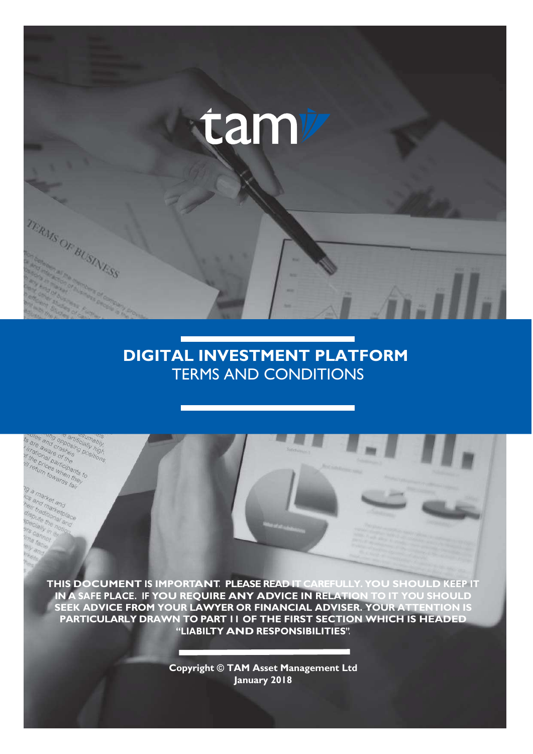

# **DIGITAL INVESTMENT PLATFORM** TERMS AND CONDITIONS

aware onal participants ices when the towards

larke nd marketple

**THIS DOCUMENT IS IMPORTANT. PLEASE READ IT CAREFULLY. YOU SHOULD KEEP IT IN A SAFE PLACE. IF YOU REQUIRE ANY ADVICE IN RELATION TO IT YOU SHOULD SEEK ADVICE FROM YOUR LAWYER OR FINANCIAL ADVISER. YOUR ATTENTION IS PARTICULARLY DRAWN TO PART 11 OF THE FIRST SECTION WHICH IS HEADED "LIABILTY AND RESPONSIBILITIES".**

> **Copyright © TAM Asset Management Ltd January 2018**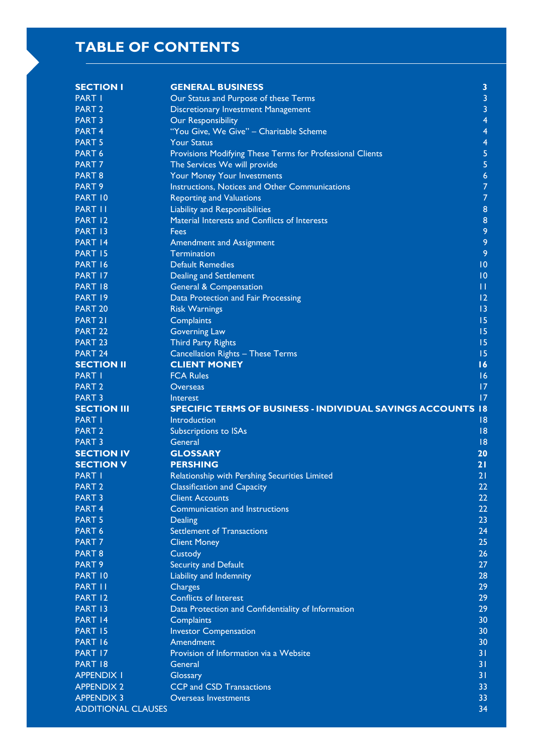# **TABLE OF CONTENTS**

| <b>SECTION I</b>                               | <b>GENERAL BUSINESS</b>                                            | $\overline{\mathbf{3}}$ |
|------------------------------------------------|--------------------------------------------------------------------|-------------------------|
| <b>PART I</b>                                  | Our Status and Purpose of these Terms                              | 3                       |
| <b>PART 2</b>                                  | <b>Discretionary Investment Management</b>                         | 3                       |
| <b>PART 3</b>                                  | <b>Our Responsibility</b>                                          | 4                       |
| <b>PART 4</b>                                  | "You Give, We Give" - Charitable Scheme                            | 4                       |
| <b>PART 5</b>                                  | <b>Your Status</b>                                                 | 4                       |
| PART 6                                         | Provisions Modifying These Terms for Professional Clients          | 5                       |
| PART <sub>7</sub>                              | The Services We will provide                                       | 5                       |
| PART <sub>8</sub>                              | Your Money Your Investments                                        | 6                       |
| PART 9                                         | Instructions, Notices and Other Communications                     | $\overline{7}$          |
| PART 10                                        | <b>Reporting and Valuations</b>                                    | $\overline{7}$          |
| PART II                                        | <b>Liability and Responsibilities</b>                              | 8                       |
| PART 12                                        | Material Interests and Conflicts of Interests                      | $\bf 8$                 |
| PART 13                                        | Fees                                                               | 9                       |
| PART 14                                        | <b>Amendment and Assignment</b>                                    | 9                       |
| PART 15                                        | <b>Termination</b>                                                 | 9                       |
| PART 16                                        | <b>Default Remedies</b>                                            | 0                       |
| PART 17                                        | <b>Dealing and Settlement</b>                                      | $\overline{10}$         |
| PART 18                                        | <b>General &amp; Compensation</b>                                  | $\mathbf{H}$            |
| PART 19                                        | Data Protection and Fair Processing                                | 12                      |
| <b>PART 20</b>                                 | <b>Risk Warnings</b>                                               | 13                      |
| PART <sub>21</sub>                             | Complaints                                                         | 15                      |
| <b>PART 22</b>                                 | <b>Governing Law</b>                                               | 15                      |
| <b>PART 23</b>                                 | <b>Third Party Rights</b>                                          | 15                      |
| PART 24                                        | <b>Cancellation Rights - These Terms</b>                           | 15                      |
| <b>SECTION II</b>                              | <b>CLIENT MONEY</b>                                                | 16                      |
| PART I                                         | <b>FCA Rules</b>                                                   | 16                      |
| PART <sub>2</sub>                              | Overseas                                                           | 17                      |
| <b>PART 3</b>                                  | Interest                                                           | 17                      |
|                                                |                                                                    |                         |
|                                                |                                                                    |                         |
| <b>SECTION III</b>                             | <b>SPECIFIC TERMS OF BUSINESS - INDIVIDUAL SAVINGS ACCOUNTS 18</b> |                         |
| PART I                                         | Introduction                                                       | 8                       |
| PART <sub>2</sub>                              | <b>Subscriptions to ISAs</b>                                       | 8                       |
| <b>PART 3</b>                                  | General                                                            | 8                       |
| <b>SECTION IV</b>                              | <b>GLOSSARY</b>                                                    | 20                      |
| <b>SECTION V</b>                               | <b>PERSHING</b>                                                    | 21                      |
| <b>PART I</b>                                  | Relationship with Pershing Securities Limited                      | 21                      |
| <b>PART 2</b>                                  | <b>Classification and Capacity</b>                                 | 22                      |
| <b>PART 3</b>                                  | <b>Client Accounts</b>                                             | 22                      |
| PART <sub>4</sub>                              | Communication and Instructions                                     | 22                      |
| <b>PART 5</b>                                  | Dealing                                                            | 23                      |
| PART 6                                         | <b>Settlement of Transactions</b>                                  | 24                      |
| PART <sub>7</sub>                              | <b>Client Money</b>                                                | 25                      |
| PART <sub>8</sub>                              | Custody                                                            | 26                      |
| PART <sub>9</sub>                              | Security and Default                                               | 27                      |
| PART 10                                        | Liability and Indemnity                                            | 28                      |
| PART II                                        | Charges                                                            | 29                      |
| PART 12                                        | Conflicts of Interest                                              | 29                      |
| PART 13                                        | Data Protection and Confidentiality of Information                 | 29                      |
| PART 14                                        | Complaints                                                         | 30                      |
| PART 15                                        | <b>Investor Compensation</b>                                       | 30                      |
| PART 16                                        | Amendment                                                          | 30                      |
| PART 17                                        | Provision of Information via a Website                             | 31                      |
| PART 18                                        | General                                                            | 31                      |
| <b>APPENDIX I</b>                              | Glossary                                                           | 31                      |
| <b>APPENDIX 2</b>                              | <b>CCP</b> and CSD Transactions                                    | 33                      |
| <b>APPENDIX 3</b><br><b>ADDITIONAL CLAUSES</b> | Overseas Investments                                               | 33<br>34                |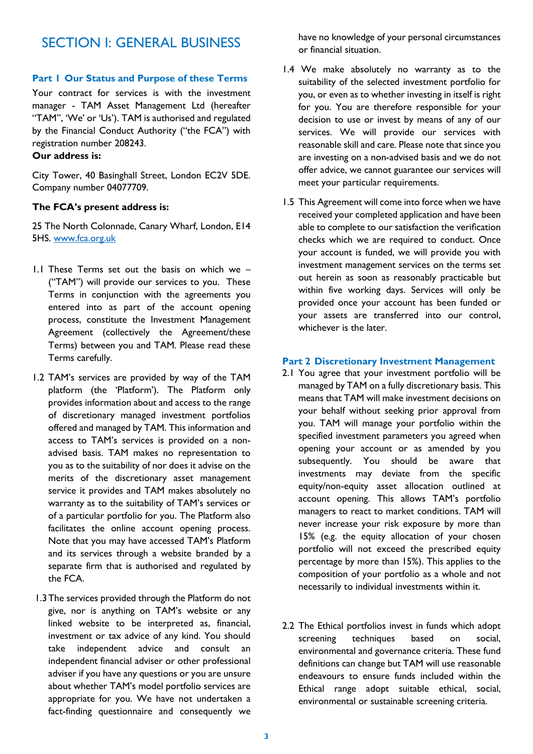# SECTION I: GENERAL BUSINESS

### **Part 1 Our Status and Purpose of these Terms**

Your contract for services is with the investment manager - TAM Asset Management Ltd (hereafter "TAM", 'We' or 'Us'). TAM is authorised and regulated by the Financial Conduct Authority ("the FCA") with registration number 208243.

## **Our address is:**

City Tower, 40 Basinghall Street, London EC2V 5DE. Company number 04077709.

#### **The FCA's present address is:**

25 The North Colonnade, Canary Wharf, London, E14 5HS. [www.fca.org.uk](http://www.fca.org.uk/)

- 1.1 These Terms set out the basis on which we ("TAM") will provide our services to you. These Terms in conjunction with the agreements you entered into as part of the account opening process, constitute the Investment Management Agreement (collectively the Agreement/these Terms) between you and TAM. Please read these Terms carefully.
- 1.2 TAM's services are provided by way of the TAM platform (the 'Platform'). The Platform only provides information about and access to the range of discretionary managed investment portfolios offered and managed by TAM. This information and access to TAM's services is provided on a nonadvised basis. TAM makes no representation to you as to the suitability of nor does it advise on the merits of the discretionary asset management service it provides and TAM makes absolutely no warranty as to the suitability of TAM's services or of a particular portfolio for you. The Platform also facilitates the online account opening process. Note that you may have accessed TAM's Platform and its services through a website branded by a separate firm that is authorised and regulated by the FCA.
- 1.3The services provided through the Platform do not give, nor is anything on TAM's website or any linked website to be interpreted as, financial, investment or tax advice of any kind. You should take independent advice and consult an independent financial adviser or other professional adviser if you have any questions or you are unsure about whether TAM's model portfolio services are appropriate for you. We have not undertaken a fact-finding questionnaire and consequently we

have no knowledge of your personal circumstances or financial situation.

- 1.4 We make absolutely no warranty as to the suitability of the selected investment portfolio for you, or even as to whether investing in itself is right for you. You are therefore responsible for your decision to use or invest by means of any of our services. We will provide our services with reasonable skill and care. Please note that since you are investing on a non-advised basis and we do not offer advice, we cannot guarantee our services will meet your particular requirements.
- 1.5 This Agreement will come into force when we have received your completed application and have been able to complete to our satisfaction the verification checks which we are required to conduct. Once your account is funded, we will provide you with investment management services on the terms set out herein as soon as reasonably practicable but within five working days. Services will only be provided once your account has been funded or your assets are transferred into our control, whichever is the later.

#### **Part 2 Discretionary Investment Management**

- 2.1 You agree that your investment portfolio will be managed by TAM on a fully discretionary basis. This means that TAM will make investment decisions on your behalf without seeking prior approval from you. TAM will manage your portfolio within the specified investment parameters you agreed when opening your account or as amended by you subsequently. You should be aware that investments may deviate from the specific equity/non-equity asset allocation outlined at account opening. This allows TAM's portfolio managers to react to market conditions. TAM will never increase your risk exposure by more than 15% (e.g. the equity allocation of your chosen portfolio will not exceed the prescribed equity percentage by more than 15%). This applies to the composition of your portfolio as a whole and not necessarily to individual investments within it.
- 2.2 The Ethical portfolios invest in funds which adopt screening techniques based on social, environmental and governance criteria. These fund definitions can change but TAM will use reasonable endeavours to ensure funds included within the Ethical range adopt suitable ethical, social, environmental or sustainable screening criteria.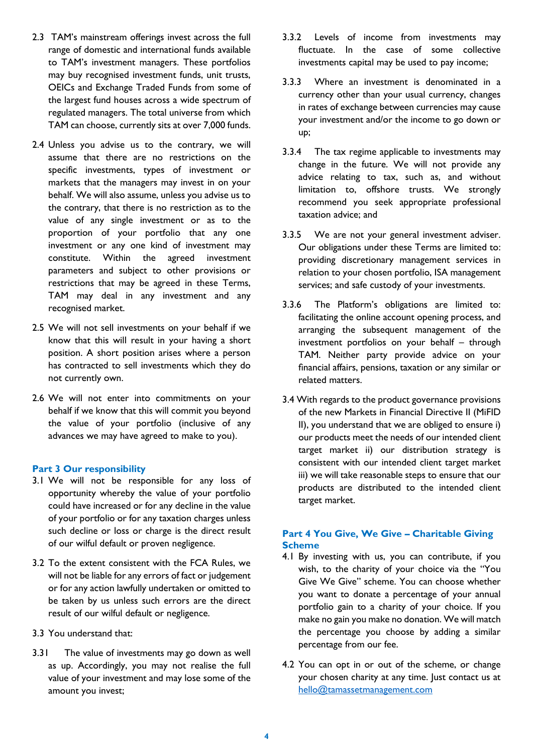- 2.3 TAM's mainstream offerings invest across the full range of domestic and international funds available to TAM's investment managers. These portfolios may buy recognised investment funds, unit trusts, OEICs and Exchange Traded Funds from some of the largest fund houses across a wide spectrum of regulated managers. The total universe from which TAM can choose, currently sits at over 7,000 funds.
- 2.4 Unless you advise us to the contrary, we will assume that there are no restrictions on the specific investments, types of investment or markets that the managers may invest in on your behalf. We will also assume, unless you advise us to the contrary, that there is no restriction as to the value of any single investment or as to the proportion of your portfolio that any one investment or any one kind of investment may constitute. Within the agreed investment parameters and subject to other provisions or restrictions that may be agreed in these Terms, TAM may deal in any investment and any recognised market.
- 2.5 We will not sell investments on your behalf if we know that this will result in your having a short position. A short position arises where a person has contracted to sell investments which they do not currently own.
- 2.6 We will not enter into commitments on your behalf if we know that this will commit you beyond the value of your portfolio (inclusive of any advances we may have agreed to make to you).

#### **Part 3 Our responsibility**

- 3.1 We will not be responsible for any loss of opportunity whereby the value of your portfolio could have increased or for any decline in the value of your portfolio or for any taxation charges unless such decline or loss or charge is the direct result of our wilful default or proven negligence.
- 3.2 To the extent consistent with the FCA Rules, we will not be liable for any errors of fact or judgement or for any action lawfully undertaken or omitted to be taken by us unless such errors are the direct result of our wilful default or negligence.
- 3.3 You understand that:
- 3.31 The value of investments may go down as well as up. Accordingly, you may not realise the full value of your investment and may lose some of the amount you invest;
- 3.3.2 Levels of income from investments may fluctuate. In the case of some collective investments capital may be used to pay income;
- 3.3.3 Where an investment is denominated in a currency other than your usual currency, changes in rates of exchange between currencies may cause your investment and/or the income to go down or up;
- 3.3.4 The tax regime applicable to investments may change in the future. We will not provide any advice relating to tax, such as, and without limitation to, offshore trusts. We strongly recommend you seek appropriate professional taxation advice; and
- 3.3.5 We are not your general investment adviser. Our obligations under these Terms are limited to: providing discretionary management services in relation to your chosen portfolio, ISA management services; and safe custody of your investments.
- 3.3.6 The Platform's obligations are limited to: facilitating the online account opening process, and arranging the subsequent management of the investment portfolios on your behalf – through TAM. Neither party provide advice on your financial affairs, pensions, taxation or any similar or related matters.
- 3.4 With regards to the product governance provisions of the new Markets in Financial Directive II (MiFID II), you understand that we are obliged to ensure i) our products meet the needs of our intended client target market ii) our distribution strategy is consistent with our intended client target market iii) we will take reasonable steps to ensure that our products are distributed to the intended client target market.

## **Part 4 You Give, We Give – Charitable Giving Scheme**

- 4.1 By investing with us, you can contribute, if you wish, to the charity of your choice via the "You Give We Give" scheme. You can choose whether you want to donate a percentage of your annual portfolio gain to a charity of your choice. If you make no gain you make no donation. We will match the percentage you choose by adding a similar percentage from our fee.
- 4.2 You can opt in or out of the scheme, or change your chosen charity at any time. Just contact us at [hello@tamassetmanagement.com](mailto:admin@tamassetmanagement.com)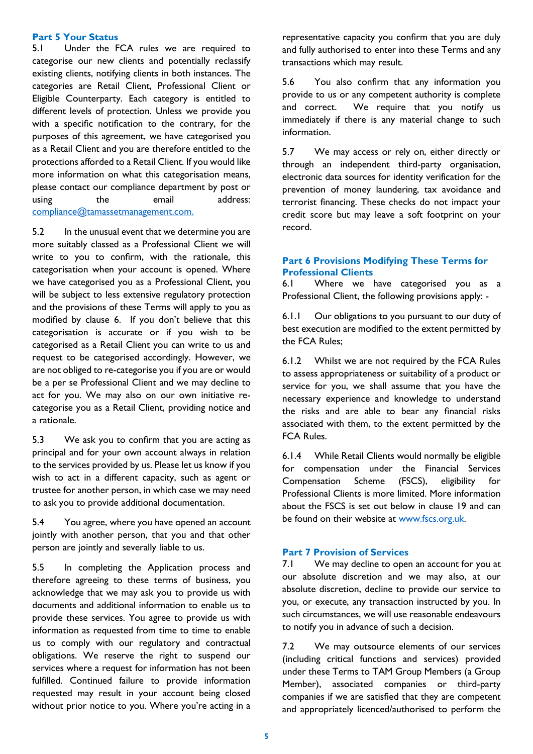#### **Part 5 Your Status**

5.1 Under the FCA rules we are required to categorise our new clients and potentially reclassify existing clients, notifying clients in both instances. The categories are Retail Client, Professional Client or Eligible Counterparty. Each category is entitled to different levels of protection. Unless we provide you with a specific notification to the contrary, for the purposes of this agreement, we have categorised you as a Retail Client and you are therefore entitled to the protections afforded to a Retail Client. If you would like more information on what this categorisation means, please contact our compliance department by post or using the email address: [compliance@tamassetmanagement.com.](mailto:compliance@tamassetmanagement.com)

5.2 In the unusual event that we determine you are more suitably classed as a Professional Client we will write to you to confirm, with the rationale, this categorisation when your account is opened. Where we have categorised you as a Professional Client, you will be subject to less extensive regulatory protection and the provisions of these Terms will apply to you as modified by clause 6. If you don't believe that this categorisation is accurate or if you wish to be categorised as a Retail Client you can write to us and request to be categorised accordingly. However, we are not obliged to re-categorise you if you are or would be a per se Professional Client and we may decline to act for you. We may also on our own initiative recategorise you as a Retail Client, providing notice and a rationale.

5.3 We ask you to confirm that you are acting as principal and for your own account always in relation to the services provided by us. Please let us know if you wish to act in a different capacity, such as agent or trustee for another person, in which case we may need to ask you to provide additional documentation.

5.4 You agree, where you have opened an account jointly with another person, that you and that other person are jointly and severally liable to us.

5.5 In completing the Application process and therefore agreeing to these terms of business, you acknowledge that we may ask you to provide us with documents and additional information to enable us to provide these services. You agree to provide us with information as requested from time to time to enable us to comply with our regulatory and contractual obligations. We reserve the right to suspend our services where a request for information has not been fulfilled. Continued failure to provide information requested may result in your account being closed without prior notice to you. Where you're acting in a representative capacity you confirm that you are duly and fully authorised to enter into these Terms and any transactions which may result.

5.6 You also confirm that any information you provide to us or any competent authority is complete and correct. We require that you notify us immediately if there is any material change to such information.

5.7 We may access or rely on, either directly or through an independent third-party organisation, electronic data sources for identity verification for the prevention of money laundering, tax avoidance and terrorist financing. These checks do not impact your credit score but may leave a soft footprint on your record.

### **Part 6 Provisions Modifying These Terms for Professional Clients**

6.1 Where we have categorised you as a Professional Client, the following provisions apply: -

6.1.1 Our obligations to you pursuant to our duty of best execution are modified to the extent permitted by the FCA Rules;

6.1.2 Whilst we are not required by the FCA Rules to assess appropriateness or suitability of a product or service for you, we shall assume that you have the necessary experience and knowledge to understand the risks and are able to bear any financial risks associated with them, to the extent permitted by the FCA Rules.

6.1.4 While Retail Clients would normally be eligible for compensation under the Financial Services Compensation Scheme (FSCS), eligibility for Professional Clients is more limited. More information about the FSCS is set out below in clause 19 and can be found on their website at [www.fscs.org.uk.](http://www.fscs.org.uk/)

#### **Part 7 Provision of Services**

7.1 We may decline to open an account for you at our absolute discretion and we may also, at our absolute discretion, decline to provide our service to you, or execute, any transaction instructed by you. In such circumstances, we will use reasonable endeavours to notify you in advance of such a decision.

7.2 We may outsource elements of our services (including critical functions and services) provided under these Terms to TAM Group Members (a Group Member), associated companies or third-party companies if we are satisfied that they are competent and appropriately licenced/authorised to perform the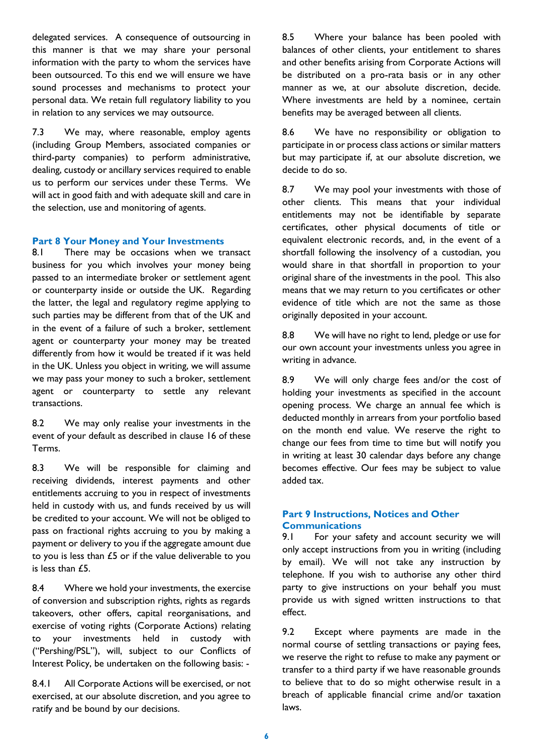delegated services. A consequence of outsourcing in this manner is that we may share your personal information with the party to whom the services have been outsourced. To this end we will ensure we have sound processes and mechanisms to protect your personal data. We retain full regulatory liability to you in relation to any services we may outsource.

7.3 We may, where reasonable, employ agents (including Group Members, associated companies or third-party companies) to perform administrative, dealing, custody or ancillary services required to enable us to perform our services under these Terms. We will act in good faith and with adequate skill and care in the selection, use and monitoring of agents.

#### **Part 8 Your Money and Your Investments**

8.1 There may be occasions when we transact business for you which involves your money being passed to an intermediate broker or settlement agent or counterparty inside or outside the UK. Regarding the latter, the legal and regulatory regime applying to such parties may be different from that of the UK and in the event of a failure of such a broker, settlement agent or counterparty your money may be treated differently from how it would be treated if it was held in the UK. Unless you object in writing, we will assume we may pass your money to such a broker, settlement agent or counterparty to settle any relevant transactions.

8.2 We may only realise your investments in the event of your default as described in clause 16 of these Terms.

8.3 We will be responsible for claiming and receiving dividends, interest payments and other entitlements accruing to you in respect of investments held in custody with us, and funds received by us will be credited to your account. We will not be obliged to pass on fractional rights accruing to you by making a payment or delivery to you if the aggregate amount due to you is less than £5 or if the value deliverable to you is less than £5.

8.4 Where we hold your investments, the exercise of conversion and subscription rights, rights as regards takeovers, other offers, capital reorganisations, and exercise of voting rights (Corporate Actions) relating to your investments held in custody with ("Pershing/PSL"), will, subject to our Conflicts of Interest Policy, be undertaken on the following basis: -

8.4.1 All Corporate Actions will be exercised, or not exercised, at our absolute discretion, and you agree to ratify and be bound by our decisions.

8.5 Where your balance has been pooled with balances of other clients, your entitlement to shares and other benefits arising from Corporate Actions will be distributed on a pro-rata basis or in any other manner as we, at our absolute discretion, decide. Where investments are held by a nominee, certain benefits may be averaged between all clients.

8.6 We have no responsibility or obligation to participate in or process class actions or similar matters but may participate if, at our absolute discretion, we decide to do so.

8.7 We may pool your investments with those of other clients. This means that your individual entitlements may not be identifiable by separate certificates, other physical documents of title or equivalent electronic records, and, in the event of a shortfall following the insolvency of a custodian, you would share in that shortfall in proportion to your original share of the investments in the pool. This also means that we may return to you certificates or other evidence of title which are not the same as those originally deposited in your account.

8.8 We will have no right to lend, pledge or use for our own account your investments unless you agree in writing in advance.

8.9 We will only charge fees and/or the cost of holding your investments as specified in the account opening process. We charge an annual fee which is deducted monthly in arrears from your portfolio based on the month end value. We reserve the right to change our fees from time to time but will notify you in writing at least 30 calendar days before any change becomes effective. Our fees may be subject to value added tax.

#### **Part 9 Instructions, Notices and Other Communications**

9.1 For your safety and account security we will only accept instructions from you in writing (including by email). We will not take any instruction by telephone. If you wish to authorise any other third party to give instructions on your behalf you must provide us with signed written instructions to that effect.

9.2 Except where payments are made in the normal course of settling transactions or paying fees, we reserve the right to refuse to make any payment or transfer to a third party if we have reasonable grounds to believe that to do so might otherwise result in a breach of applicable financial crime and/or taxation laws.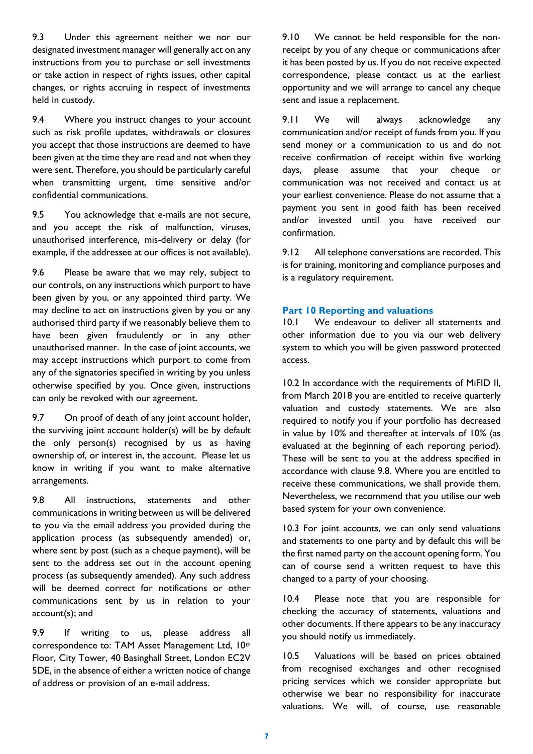9.3 Under this agreement neither we nor our designated investment manager will generally act on any instructions from you to purchase or sell investments or take action in respect of rights issues, other capital changes, or rights accruing in respect of investments held in custody.

9.4 Where you instruct changes to your account such as risk profile updates, withdrawals or closures you accept that those instructions are deemed to have been given at the time they are read and not when they were sent. Therefore, you should be particularly careful when transmitting urgent, time sensitive and/or confidential communications.

9.5 You acknowledge that e-mails are not secure, and you accept the risk of malfunction, viruses, unauthorised interference, mis-delivery or delay (for example, if the addressee at our offices is not available).

9.6 Please be aware that we may rely, subject to our controls, on any instructions which purport to have been given by you, or any appointed third party. We may decline to act on instructions given by you or any authorised third party if we reasonably believe them to have been given fraudulently or in any other unauthorised manner. In the case of joint accounts, we may accept instructions which purport to come from any of the signatories specified in writing by you unless otherwise specified by you. Once given, instructions can only be revoked with our agreement.

9.7 On proof of death of any joint account holder, the surviving joint account holder(s) will be by default the only person(s) recognised by us as having ownership of, or interest in, the account. Please let us know in writing if you want to make alternative arrangements.

9.8 All instructions, statements and other communications in writing between us will be delivered to you via the email address you provided during the application process (as subsequently amended) or, where sent by post (such as a cheque payment), will be sent to the address set out in the account opening process (as subsequently amended). Any such address will be deemed correct for notifications or other communications sent by us in relation to your account(s); and

9.9 If writing to us, please address all correspondence to: TAM Asset Management Ltd, 10th Floor, City Tower, 40 Basinghall Street, London EC2V 5DE, in the absence of either a written notice of change of address or provision of an e-mail address.

9.10 We cannot be held responsible for the nonreceipt by you of any cheque or communications after it has been posted by us. If you do not receive expected correspondence, please contact us at the earliest opportunity and we will arrange to cancel any cheque sent and issue a replacement.

9.11 We will always acknowledge any communication and/or receipt of funds from you. If you send money or a communication to us and do not receive confirmation of receipt within five working days, please assume that your cheque or communication was not received and contact us at your earliest convenience. Please do not assume that a payment you sent in good faith has been received and/or invested until you have received our confirmation.

9.12 All telephone conversations are recorded. This is for training, monitoring and compliance purposes and is a regulatory requirement.

### **Part 10 Reporting and valuations**

10.1 We endeavour to deliver all statements and other information due to you via our web delivery system to which you will be given password protected access.

10.2 In accordance with the requirements of MiFID II, from March 2018 you are entitled to receive quarterly valuation and custody statements. We are also required to notify you if your portfolio has decreased in value by 10% and thereafter at intervals of 10% (as evaluated at the beginning of each reporting period). These will be sent to you at the address specified in accordance with clause 9.8. Where you are entitled to receive these communications, we shall provide them. Nevertheless, we recommend that you utilise our web based system for your own convenience.

10.3 For joint accounts, we can only send valuations and statements to one party and by default this will be the first named party on the account opening form. You can of course send a written request to have this changed to a party of your choosing.

10.4 Please note that you are responsible for checking the accuracy of statements, valuations and other documents. If there appears to be any inaccuracy you should notify us immediately.

10.5 Valuations will be based on prices obtained from recognised exchanges and other recognised pricing services which we consider appropriate but otherwise we bear no responsibility for inaccurate valuations. We will, of course, use reasonable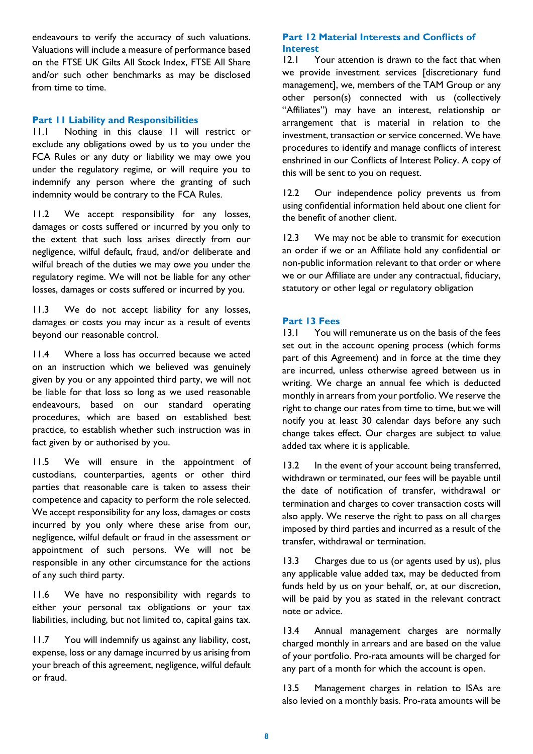endeavours to verify the accuracy of such valuations. Valuations will include a measure of performance based on the FTSE UK Gilts All Stock Index, FTSE All Share and/or such other benchmarks as may be disclosed from time to time.

### **Part 11 Liability and Responsibilities**

11.1 Nothing in this clause 11 will restrict or exclude any obligations owed by us to you under the FCA Rules or any duty or liability we may owe you under the regulatory regime, or will require you to indemnify any person where the granting of such indemnity would be contrary to the FCA Rules.

11.2 We accept responsibility for any losses, damages or costs suffered or incurred by you only to the extent that such loss arises directly from our negligence, wilful default, fraud, and/or deliberate and wilful breach of the duties we may owe you under the regulatory regime. We will not be liable for any other losses, damages or costs suffered or incurred by you.

11.3 We do not accept liability for any losses, damages or costs you may incur as a result of events beyond our reasonable control.

11.4 Where a loss has occurred because we acted on an instruction which we believed was genuinely given by you or any appointed third party, we will not be liable for that loss so long as we used reasonable endeavours, based on our standard operating procedures, which are based on established best practice, to establish whether such instruction was in fact given by or authorised by you.

11.5 We will ensure in the appointment of custodians, counterparties, agents or other third parties that reasonable care is taken to assess their competence and capacity to perform the role selected. We accept responsibility for any loss, damages or costs incurred by you only where these arise from our, negligence, wilful default or fraud in the assessment or appointment of such persons. We will not be responsible in any other circumstance for the actions of any such third party.

11.6 We have no responsibility with regards to either your personal tax obligations or your tax liabilities, including, but not limited to, capital gains tax.

11.7 You will indemnify us against any liability, cost, expense, loss or any damage incurred by us arising from your breach of this agreement, negligence, wilful default or fraud.

## **Part 12 Material Interests and Conflicts of Interest**

12.1 Your attention is drawn to the fact that when we provide investment services [discretionary fund management], we, members of the TAM Group or any other person(s) connected with us (collectively "Affiliates") may have an interest, relationship or arrangement that is material in relation to the investment, transaction or service concerned. We have procedures to identify and manage conflicts of interest enshrined in our Conflicts of Interest Policy. A copy of this will be sent to you on request.

12.2 Our independence policy prevents us from using confidential information held about one client for the benefit of another client.

12.3 We may not be able to transmit for execution an order if we or an Affiliate hold any confidential or non-public information relevant to that order or where we or our Affiliate are under any contractual, fiduciary, statutory or other legal or regulatory obligation

## **Part 13 Fees**

13.1 You will remunerate us on the basis of the fees set out in the account opening process (which forms part of this Agreement) and in force at the time they are incurred, unless otherwise agreed between us in writing. We charge an annual fee which is deducted monthly in arrears from your portfolio. We reserve the right to change our rates from time to time, but we will notify you at least 30 calendar days before any such change takes effect. Our charges are subject to value added tax where it is applicable.

13.2 In the event of your account being transferred, withdrawn or terminated, our fees will be payable until the date of notification of transfer, withdrawal or termination and charges to cover transaction costs will also apply. We reserve the right to pass on all charges imposed by third parties and incurred as a result of the transfer, withdrawal or termination.

13.3 Charges due to us (or agents used by us), plus any applicable value added tax, may be deducted from funds held by us on your behalf, or, at our discretion, will be paid by you as stated in the relevant contract note or advice.

13.4 Annual management charges are normally charged monthly in arrears and are based on the value of your portfolio. Pro-rata amounts will be charged for any part of a month for which the account is open.

13.5 Management charges in relation to ISAs are also levied on a monthly basis. Pro-rata amounts will be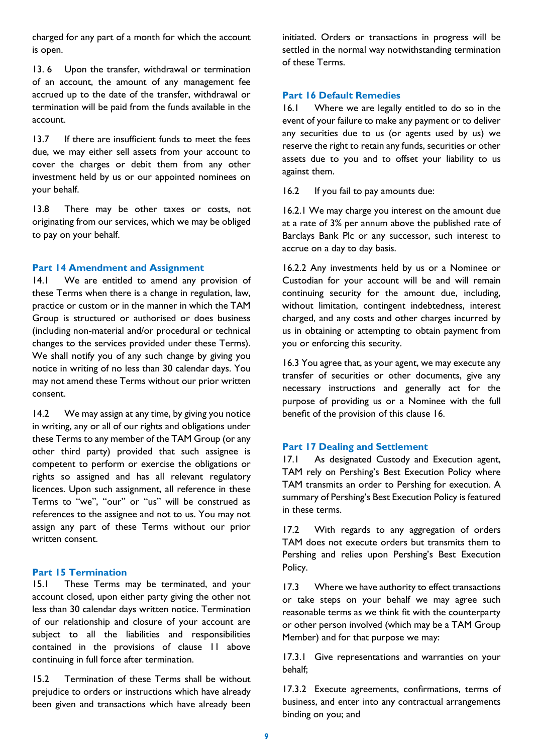charged for any part of a month for which the account is open.

13.6 Upon the transfer, withdrawal or termination of an account, the amount of any management fee accrued up to the date of the transfer, withdrawal or termination will be paid from the funds available in the account.

13.7 If there are insufficient funds to meet the fees due, we may either sell assets from your account to cover the charges or debit them from any other investment held by us or our appointed nominees on your behalf.

13.8 There may be other taxes or costs, not originating from our services, which we may be obliged to pay on your behalf.

#### **Part 14 Amendment and Assignment**

14.1 We are entitled to amend any provision of these Terms when there is a change in regulation, law, practice or custom or in the manner in which the TAM Group is structured or authorised or does business (including non-material and/or procedural or technical changes to the services provided under these Terms). We shall notify you of any such change by giving you notice in writing of no less than 30 calendar days. You may not amend these Terms without our prior written consent.

14.2 We may assign at any time, by giving you notice in writing, any or all of our rights and obligations under these Terms to any member of the TAM Group (or any other third party) provided that such assignee is competent to perform or exercise the obligations or rights so assigned and has all relevant regulatory licences. Upon such assignment, all reference in these Terms to "we", "our" or "us" will be construed as references to the assignee and not to us. You may not assign any part of these Terms without our prior written consent.

## **Part 15 Termination**

15.1 These Terms may be terminated, and your account closed, upon either party giving the other not less than 30 calendar days written notice. Termination of our relationship and closure of your account are subject to all the liabilities and responsibilities contained in the provisions of clause 11 above continuing in full force after termination.

15.2 Termination of these Terms shall be without prejudice to orders or instructions which have already been given and transactions which have already been initiated. Orders or transactions in progress will be settled in the normal way notwithstanding termination of these Terms.

#### **Part 16 Default Remedies**

16.1 Where we are legally entitled to do so in the event of your failure to make any payment or to deliver any securities due to us (or agents used by us) we reserve the right to retain any funds, securities or other assets due to you and to offset your liability to us against them.

16.2 If you fail to pay amounts due:

16.2.1 We may charge you interest on the amount due at a rate of 3% per annum above the published rate of Barclays Bank Plc or any successor, such interest to accrue on a day to day basis.

16.2.2 Any investments held by us or a Nominee or Custodian for your account will be and will remain continuing security for the amount due, including, without limitation, contingent indebtedness, interest charged, and any costs and other charges incurred by us in obtaining or attempting to obtain payment from you or enforcing this security.

16.3 You agree that, as your agent, we may execute any transfer of securities or other documents, give any necessary instructions and generally act for the purpose of providing us or a Nominee with the full benefit of the provision of this clause 16.

#### **Part 17 Dealing and Settlement**

17.1 As designated Custody and Execution agent, TAM rely on Pershing's Best Execution Policy where TAM transmits an order to Pershing for execution. A summary of Pershing's Best Execution Policy is featured in these terms.

17.2 With regards to any aggregation of orders TAM does not execute orders but transmits them to Pershing and relies upon Pershing's Best Execution Policy.

17.3 Where we have authority to effect transactions or take steps on your behalf we may agree such reasonable terms as we think fit with the counterparty or other person involved (which may be a TAM Group Member) and for that purpose we may:

17.3.1 Give representations and warranties on your behalf;

17.3.2 Execute agreements, confirmations, terms of business, and enter into any contractual arrangements binding on you; and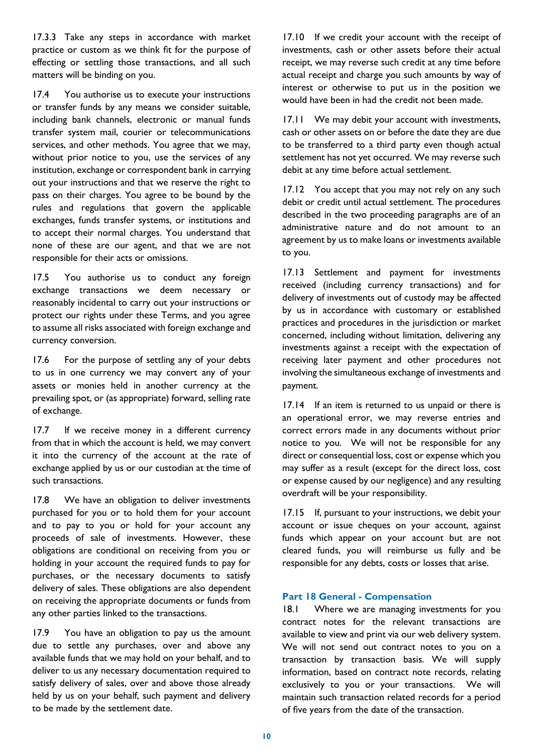17.3.3 Take any steps in accordance with market practice or custom as we think fit for the purpose of effecting or settling those transactions, and all such matters will be binding on you.

17.4 You authorise us to execute your instructions or transfer funds by any means we consider suitable, including bank channels, electronic or manual funds transfer system mail, courier or telecommunications services, and other methods. You agree that we may, without prior notice to you, use the services of any institution, exchange or correspondent bank in carrying out your instructions and that we reserve the right to pass on their charges. You agree to be bound by the rules and regulations that govern the applicable exchanges, funds transfer systems, or institutions and to accept their normal charges. You understand that none of these are our agent, and that we are not responsible for their acts or omissions.

17.5 You authorise us to conduct any foreign exchange transactions we deem necessary or reasonably incidental to carry out your instructions or protect our rights under these Terms, and you agree to assume all risks associated with foreign exchange and currency conversion.

17.6 For the purpose of settling any of your debts to us in one currency we may convert any of your assets or monies held in another currency at the prevailing spot, or (as appropriate) forward, selling rate of exchange.

17.7 If we receive money in a different currency from that in which the account is held, we may convert it into the currency of the account at the rate of exchange applied by us or our custodian at the time of such transactions.

17.8 We have an obligation to deliver investments purchased for you or to hold them for your account and to pay to you or hold for your account any proceeds of sale of investments. However, these obligations are conditional on receiving from you or holding in your account the required funds to pay for purchases, or the necessary documents to satisfy delivery of sales. These obligations are also dependent on receiving the appropriate documents or funds from any other parties linked to the transactions.

17.9 You have an obligation to pay us the amount due to settle any purchases, over and above any available funds that we may hold on your behalf, and to deliver to us any necessary documentation required to satisfy delivery of sales, over and above those already held by us on your behalf, such payment and delivery to be made by the settlement date.

17.10 If we credit your account with the receipt of investments, cash or other assets before their actual receipt, we may reverse such credit at any time before actual receipt and charge you such amounts by way of interest or otherwise to put us in the position we would have been in had the credit not been made.

17.11 We may debit your account with investments, cash or other assets on or before the date they are due to be transferred to a third party even though actual settlement has not yet occurred. We may reverse such debit at any time before actual settlement.

17.12 You accept that you may not rely on any such debit or credit until actual settlement. The procedures described in the two proceeding paragraphs are of an administrative nature and do not amount to an agreement by us to make loans or investments available to you.

17.13 Settlement and payment for investments received (including currency transactions) and for delivery of investments out of custody may be affected by us in accordance with customary or established practices and procedures in the jurisdiction or market concerned, including without limitation, delivering any investments against a receipt with the expectation of receiving later payment and other procedures not involving the simultaneous exchange of investments and payment.

17.14 If an item is returned to us unpaid or there is an operational error, we may reverse entries and correct errors made in any documents without prior notice to you. We will not be responsible for any direct or consequential loss, cost or expense which you may suffer as a result (except for the direct loss, cost or expense caused by our negligence) and any resulting overdraft will be your responsibility.

17.15 If, pursuant to your instructions, we debit your account or issue cheques on your account, against funds which appear on your account but are not cleared funds, you will reimburse us fully and be responsible for any debts, costs or losses that arise.

#### **Part 18 General - Compensation**

18.1 Where we are managing investments for you contract notes for the relevant transactions are available to view and print via our web delivery system. We will not send out contract notes to you on a transaction by transaction basis. We will supply information, based on contract note records, relating exclusively to you or your transactions. We will maintain such transaction related records for a period of five years from the date of the transaction.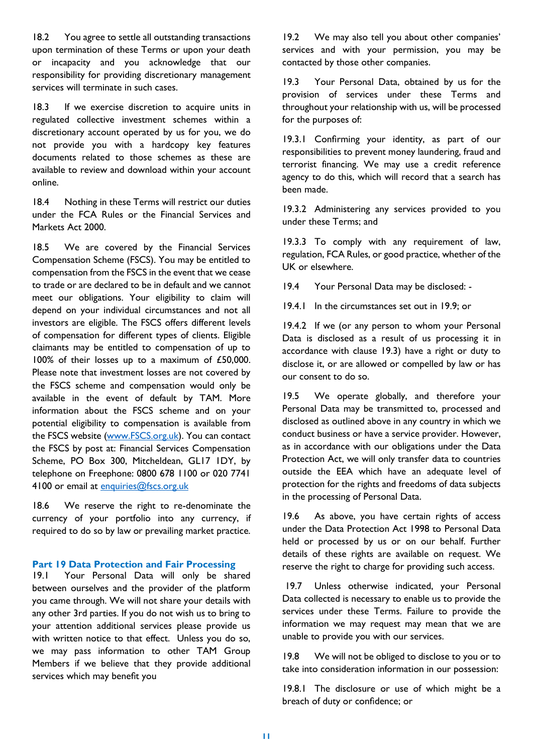18.2 You agree to settle all outstanding transactions upon termination of these Terms or upon your death or incapacity and you acknowledge that our responsibility for providing discretionary management services will terminate in such cases.

18.3 If we exercise discretion to acquire units in regulated collective investment schemes within a discretionary account operated by us for you, we do not provide you with a hardcopy key features documents related to those schemes as these are available to review and download within your account online.

18.4 Nothing in these Terms will restrict our duties under the FCA Rules or the Financial Services and Markets Act 2000.

18.5 We are covered by the Financial Services Compensation Scheme (FSCS). You may be entitled to compensation from the FSCS in the event that we cease to trade or are declared to be in default and we cannot meet our obligations. Your eligibility to claim will depend on your individual circumstances and not all investors are eligible. The FSCS offers different levels of compensation for different types of clients. Eligible claimants may be entitled to compensation of up to 100% of their losses up to a maximum of £50,000. Please note that investment losses are not covered by the FSCS scheme and compensation would only be available in the event of default by TAM. More information about the FSCS scheme and on your potential eligibility to compensation is available from the FSCS website [\(www.FSCS.org.uk\)](http://www.fscs.org.uk/). You can contact the FSCS by post at: Financial Services Compensation Scheme, PO Box 300, Mitcheldean, GL17 1DY, by telephone on Freephone: 0800 678 1100 or 020 7741 4100 or email at [enquiries@fscs.org.uk](mailto:enquiries@fscs.org.uk)

18.6 We reserve the right to re-denominate the currency of your portfolio into any currency, if required to do so by law or prevailing market practice.

#### **Part 19 Data Protection and Fair Processing**

19.1 Your Personal Data will only be shared between ourselves and the provider of the platform you came through. We will not share your details with any other 3rd parties. If you do not wish us to bring to your attention additional services please provide us with written notice to that effect. Unless you do so, we may pass information to other TAM Group Members if we believe that they provide additional services which may benefit you

19.2 We may also tell you about other companies' services and with your permission, you may be contacted by those other companies.

19.3 Your Personal Data, obtained by us for the provision of services under these Terms and throughout your relationship with us, will be processed for the purposes of:

19.3.1 Confirming your identity, as part of our responsibilities to prevent money laundering, fraud and terrorist financing. We may use a credit reference agency to do this, which will record that a search has been made.

19.3.2 Administering any services provided to you under these Terms; and

19.3.3 To comply with any requirement of law, regulation, FCA Rules, or good practice, whether of the UK or elsewhere.

19.4 Your Personal Data may be disclosed: -

19.4.1 In the circumstances set out in 19.9; or

19.4.2 If we (or any person to whom your Personal Data is disclosed as a result of us processing it in accordance with clause 19.3) have a right or duty to disclose it, or are allowed or compelled by law or has our consent to do so.

19.5 We operate globally, and therefore your Personal Data may be transmitted to, processed and disclosed as outlined above in any country in which we conduct business or have a service provider. However, as in accordance with our obligations under the Data Protection Act, we will only transfer data to countries outside the EEA which have an adequate level of protection for the rights and freedoms of data subjects in the processing of Personal Data.

19.6 As above, you have certain rights of access under the Data Protection Act 1998 to Personal Data held or processed by us or on our behalf. Further details of these rights are available on request. We reserve the right to charge for providing such access.

19.7 Unless otherwise indicated, your Personal Data collected is necessary to enable us to provide the services under these Terms. Failure to provide the information we may request may mean that we are unable to provide you with our services.

19.8 We will not be obliged to disclose to you or to take into consideration information in our possession:

19.8.1 The disclosure or use of which might be a breach of duty or confidence; or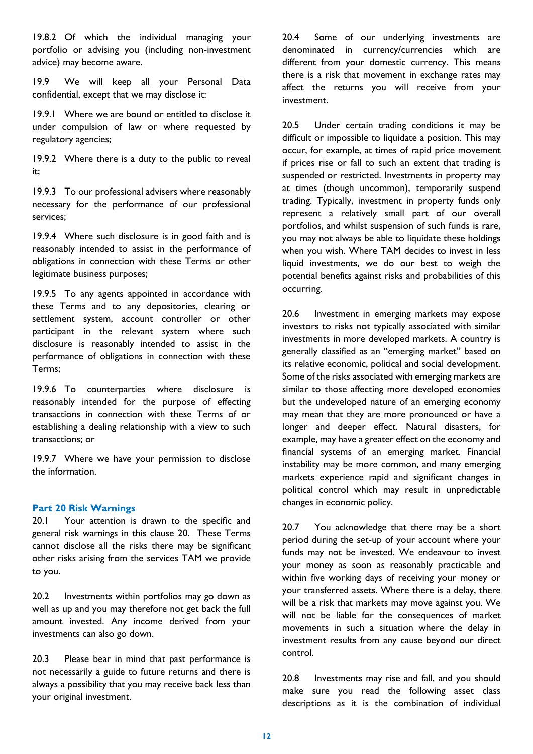19.8.2 Of which the individual managing your portfolio or advising you (including non-investment advice) may become aware.

19.9 We will keep all your Personal Data confidential, except that we may disclose it:

19.9.1 Where we are bound or entitled to disclose it under compulsion of law or where requested by regulatory agencies;

19.9.2 Where there is a duty to the public to reveal it;

19.9.3 To our professional advisers where reasonably necessary for the performance of our professional services;

19.9.4 Where such disclosure is in good faith and is reasonably intended to assist in the performance of obligations in connection with these Terms or other legitimate business purposes;

19.9.5 To any agents appointed in accordance with these Terms and to any depositories, clearing or settlement system, account controller or other participant in the relevant system where such disclosure is reasonably intended to assist in the performance of obligations in connection with these Terms;

19.9.6 To counterparties where disclosure is reasonably intended for the purpose of effecting transactions in connection with these Terms of or establishing a dealing relationship with a view to such transactions; or

19.9.7 Where we have your permission to disclose the information.

### **Part 20 Risk Warnings**

20.1 Your attention is drawn to the specific and general risk warnings in this clause 20. These Terms cannot disclose all the risks there may be significant other risks arising from the services TAM we provide to you.

20.2 Investments within portfolios may go down as well as up and you may therefore not get back the full amount invested. Any income derived from your investments can also go down.

20.3 Please bear in mind that past performance is not necessarily a guide to future returns and there is always a possibility that you may receive back less than your original investment.

20.4 Some of our underlying investments are denominated in currency/currencies which are different from your domestic currency. This means there is a risk that movement in exchange rates may affect the returns you will receive from your investment.

20.5 Under certain trading conditions it may be difficult or impossible to liquidate a position. This may occur, for example, at times of rapid price movement if prices rise or fall to such an extent that trading is suspended or restricted. Investments in property may at times (though uncommon), temporarily suspend trading. Typically, investment in property funds only represent a relatively small part of our overall portfolios, and whilst suspension of such funds is rare, you may not always be able to liquidate these holdings when you wish. Where TAM decides to invest in less liquid investments, we do our best to weigh the potential benefits against risks and probabilities of this occurring.

20.6 Investment in emerging markets may expose investors to risks not typically associated with similar investments in more developed markets. A country is generally classified as an "emerging market" based on its relative economic, political and social development. Some of the risks associated with emerging markets are similar to those affecting more developed economies but the undeveloped nature of an emerging economy may mean that they are more pronounced or have a longer and deeper effect. Natural disasters, for example, may have a greater effect on the economy and financial systems of an emerging market. Financial instability may be more common, and many emerging markets experience rapid and significant changes in political control which may result in unpredictable changes in economic policy.

20.7 You acknowledge that there may be a short period during the set-up of your account where your funds may not be invested. We endeavour to invest your money as soon as reasonably practicable and within five working days of receiving your money or your transferred assets. Where there is a delay, there will be a risk that markets may move against you. We will not be liable for the consequences of market movements in such a situation where the delay in investment results from any cause beyond our direct control.

20.8 Investments may rise and fall, and you should make sure you read the following asset class descriptions as it is the combination of individual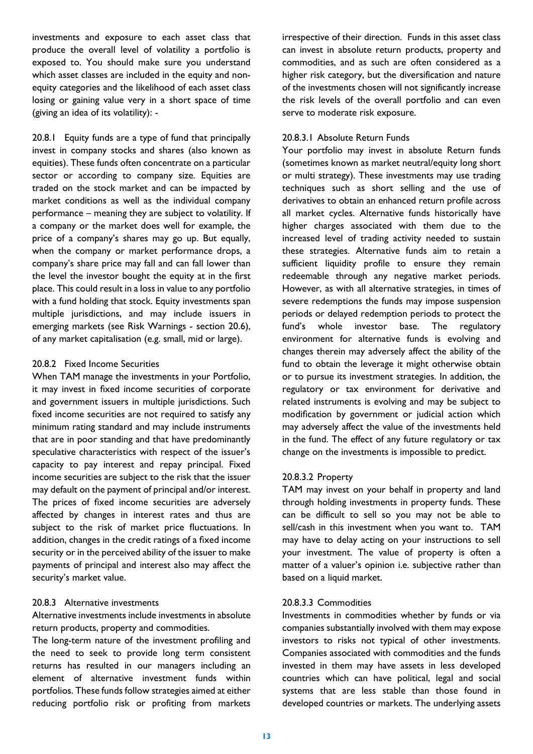investments and exposure to each asset class that produce the overall level of volatility a portfolio is exposed to. You should make sure you understand which asset classes are included in the equity and nonequity categories and the likelihood of each asset class losing or gaining value very in a short space of time (giving an idea of its volatility): -

20.8.1 Equity funds are a type of fund that principally invest in company stocks and shares (also known as equities). These funds often concentrate on a particular sector or according to company size. Equities are traded on the stock market and can be impacted by market conditions as well as the individual company performance – meaning they are subject to volatility. If a company or the market does well for example, the price of a company's shares may go up. But equally, when the company or market performance drops, a company's share price may fall and can fall lower than the level the investor bought the equity at in the first place. This could result in a loss in value to any portfolio with a fund holding that stock. Equity investments span multiple jurisdictions, and may include issuers in emerging markets (see Risk Warnings - section 20.6), of any market capitalisation (e.g. small, mid or large).

#### 20.8.2 Fixed Income Securities

When TAM manage the investments in your Portfolio, it may invest in fixed income securities of corporate and government issuers in multiple jurisdictions. Such fixed income securities are not required to satisfy any minimum rating standard and may include instruments that are in poor standing and that have predominantly speculative characteristics with respect of the issuer's capacity to pay interest and repay principal. Fixed income securities are subject to the risk that the issuer may default on the payment of principal and/or interest. The prices of fixed income securities are adversely affected by changes in interest rates and thus are subject to the risk of market price fluctuations. In addition, changes in the credit ratings of a fixed income security or in the perceived ability of the issuer to make payments of principal and interest also may affect the security's market value.

### 20.8.3 Alternative investments

Alternative investments include investments in absolute return products, property and commodities.

The long-term nature of the investment profiling and the need to seek to provide long term consistent returns has resulted in our managers including an element of alternative investment funds within portfolios. These funds follow strategies aimed at either reducing portfolio risk or profiting from markets

irrespective of their direction. Funds in this asset class can invest in absolute return products, property and commodities, and as such are often considered as a higher risk category, but the diversification and nature of the investments chosen will not significantly increase the risk levels of the overall portfolio and can even serve to moderate risk exposure.

### 20.8.3.1 Absolute Return Funds

Your portfolio may invest in absolute Return funds (sometimes known as market neutral/equity long short or multi strategy). These investments may use trading techniques such as short selling and the use of derivatives to obtain an enhanced return profile across all market cycles. Alternative funds historically have higher charges associated with them due to the increased level of trading activity needed to sustain these strategies. Alternative funds aim to retain a sufficient liquidity profile to ensure they remain redeemable through any negative market periods. However, as with all alternative strategies, in times of severe redemptions the funds may impose suspension periods or delayed redemption periods to protect the fund's whole investor base. The regulatory environment for alternative funds is evolving and changes therein may adversely affect the ability of the fund to obtain the leverage it might otherwise obtain or to pursue its investment strategies. In addition, the regulatory or tax environment for derivative and related instruments is evolving and may be subject to modification by government or judicial action which may adversely affect the value of the investments held in the fund. The effect of any future regulatory or tax change on the investments is impossible to predict.

## 20.8.3.2 Property

TAM may invest on your behalf in property and land through holding investments in property funds. These can be difficult to sell so you may not be able to sell/cash in this investment when you want to. TAM may have to delay acting on your instructions to sell your investment. The value of property is often a matter of a valuer's opinion i.e. subjective rather than based on a liquid market.

#### 20.8.3.3 Commodities

Investments in commodities whether by funds or via companies substantially involved with them may expose investors to risks not typical of other investments. Companies associated with commodities and the funds invested in them may have assets in less developed countries which can have political, legal and social systems that are less stable than those found in developed countries or markets. The underlying assets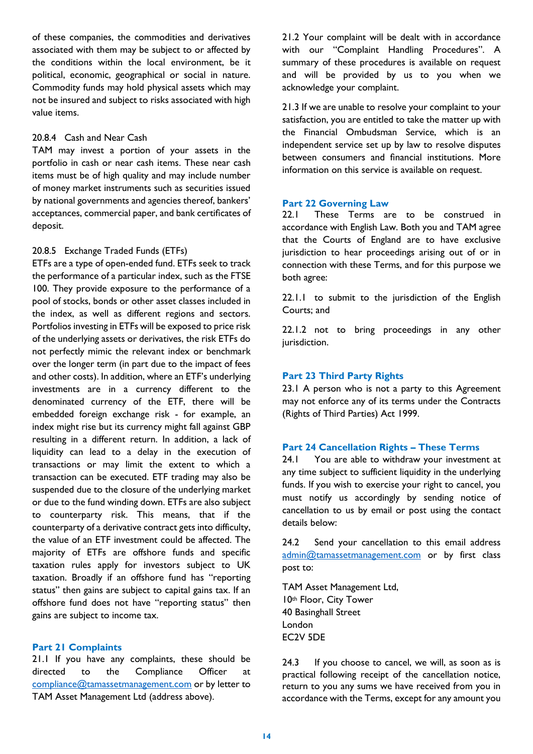of these companies, the commodities and derivatives associated with them may be subject to or affected by the conditions within the local environment, be it political, economic, geographical or social in nature. Commodity funds may hold physical assets which may not be insured and subject to risks associated with high value items.

## 20.8.4 Cash and Near Cash

TAM may invest a portion of your assets in the portfolio in cash or near cash items. These near cash items must be of high quality and may include number of money market instruments such as securities issued by national governments and agencies thereof, bankers' acceptances, commercial paper, and bank certificates of deposit.

#### 20.8.5 Exchange Traded Funds (ETFs)

ETFs are a type of open-ended fund. ETFs seek to track the performance of a particular index, such as the FTSE 100. They provide exposure to the performance of a pool of stocks, bonds or other asset classes included in the index, as well as different regions and sectors. Portfolios investing in ETFs will be exposed to price risk of the underlying assets or derivatives, the risk ETFs do not perfectly mimic the relevant index or benchmark over the longer term (in part due to the impact of fees and other costs). In addition, where an ETF's underlying investments are in a currency different to the denominated currency of the ETF, there will be embedded foreign exchange risk - for example, an index might rise but its currency might fall against GBP resulting in a different return. In addition, a lack of liquidity can lead to a delay in the execution of transactions or may limit the extent to which a transaction can be executed. ETF trading may also be suspended due to the closure of the underlying market or due to the fund winding down. ETFs are also subject to counterparty risk. This means, that if the counterparty of a derivative contract gets into difficulty, the value of an ETF investment could be affected. The majority of ETFs are offshore funds and specific taxation rules apply for investors subject to UK taxation. Broadly if an offshore fund has "reporting status" then gains are subject to capital gains tax. If an offshore fund does not have "reporting status" then gains are subject to income tax.

#### **Part 21 Complaints**

21.1 If you have any complaints, these should be directed to the Compliance Officer at [compliance@tamassetmanagement.com](mailto:compliance@tamassetmanagement.com) or by letter to TAM Asset Management Ltd (address above).

21.2 Your complaint will be dealt with in accordance with our "Complaint Handling Procedures". A summary of these procedures is available on request and will be provided by us to you when we acknowledge your complaint.

21.3 If we are unable to resolve your complaint to your satisfaction, you are entitled to take the matter up with the Financial Ombudsman Service, which is an independent service set up by law to resolve disputes between consumers and financial institutions. More information on this service is available on request.

#### **Part 22 Governing Law**

22.1 These Terms are to be construed in accordance with English Law. Both you and TAM agree that the Courts of England are to have exclusive jurisdiction to hear proceedings arising out of or in connection with these Terms, and for this purpose we both agree:

22.1.1 to submit to the jurisdiction of the English Courts; and

22.1.2 not to bring proceedings in any other jurisdiction.

#### **Part 23 Third Party Rights**

23.1 A person who is not a party to this Agreement may not enforce any of its terms under the Contracts (Rights of Third Parties) Act 1999.

#### **Part 24 Cancellation Rights – These Terms**

24.1 You are able to withdraw your investment at any time subject to sufficient liquidity in the underlying funds. If you wish to exercise your right to cancel, you must notify us accordingly by sending notice of cancellation to us by email or post using the contact details below:

24.2 Send your cancellation to this email address [admin@tamassetmanagement.com](mailto:admin@tamassetmanagement.com) or by first class post to:

TAM Asset Management Ltd, 10th Floor, City Tower 40 Basinghall Street London EC2V 5DE

24.3 If you choose to cancel, we will, as soon as is practical following receipt of the cancellation notice, return to you any sums we have received from you in accordance with the Terms, except for any amount you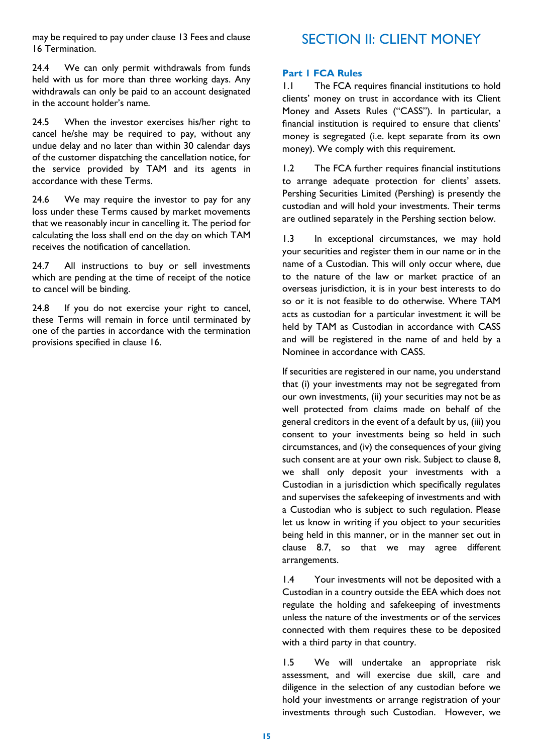may be required to pay under clause 13 Fees and clause 16 Termination.

24.4 We can only permit withdrawals from funds held with us for more than three working days. Any withdrawals can only be paid to an account designated in the account holder's name.

24.5 When the investor exercises his/her right to cancel he/she may be required to pay, without any undue delay and no later than within 30 calendar days of the customer dispatching the cancellation notice, for the service provided by TAM and its agents in accordance with these Terms.

24.6 We may require the investor to pay for any loss under these Terms caused by market movements that we reasonably incur in cancelling it. The period for calculating the loss shall end on the day on which TAM receives the notification of cancellation.

24.7 All instructions to buy or sell investments which are pending at the time of receipt of the notice to cancel will be binding.

24.8 If you do not exercise your right to cancel, these Terms will remain in force until terminated by one of the parties in accordance with the termination provisions specified in clause 16.

# SECTION II: CLIENT MONEY

### **Part 1 FCA Rules**

1.1 The FCA requires financial institutions to hold clients' money on trust in accordance with its Client Money and Assets Rules ("CASS"). In particular, a financial institution is required to ensure that clients' money is segregated (i.e. kept separate from its own money). We comply with this requirement.

1.2 The FCA further requires financial institutions to arrange adequate protection for clients' assets. Pershing Securities Limited (Pershing) is presently the custodian and will hold your investments. Their terms are outlined separately in the Pershing section below.

1.3 In exceptional circumstances, we may hold your securities and register them in our name or in the name of a Custodian. This will only occur where, due to the nature of the law or market practice of an overseas jurisdiction, it is in your best interests to do so or it is not feasible to do otherwise. Where TAM acts as custodian for a particular investment it will be held by TAM as Custodian in accordance with CASS and will be registered in the name of and held by a Nominee in accordance with CASS.

If securities are registered in our name, you understand that (i) your investments may not be segregated from our own investments, (ii) your securities may not be as well protected from claims made on behalf of the general creditors in the event of a default by us, (iii) you consent to your investments being so held in such circumstances, and (iv) the consequences of your giving such consent are at your own risk. Subject to clause 8, we shall only deposit your investments with a Custodian in a jurisdiction which specifically regulates and supervises the safekeeping of investments and with a Custodian who is subject to such regulation. Please let us know in writing if you object to your securities being held in this manner, or in the manner set out in clause 8.7, so that we may agree different arrangements.

1.4 Your investments will not be deposited with a Custodian in a country outside the EEA which does not regulate the holding and safekeeping of investments unless the nature of the investments or of the services connected with them requires these to be deposited with a third party in that country.

1.5 We will undertake an appropriate risk assessment, and will exercise due skill, care and diligence in the selection of any custodian before we hold your investments or arrange registration of your investments through such Custodian. However, we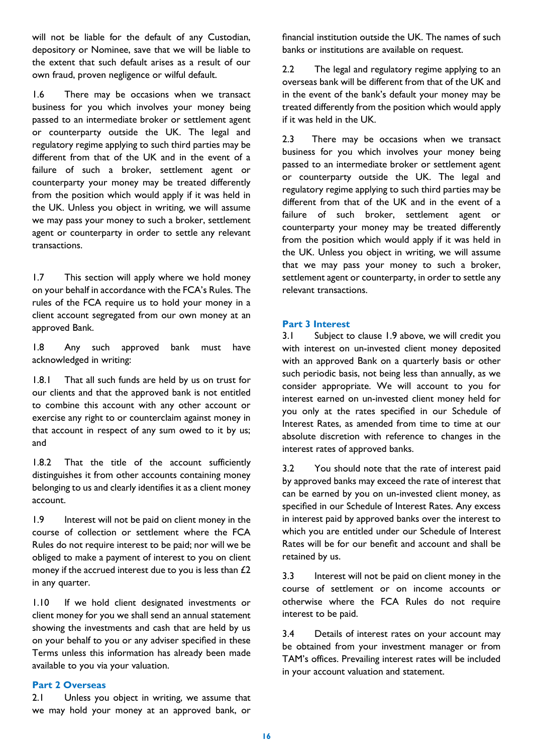will not be liable for the default of any Custodian, depository or Nominee, save that we will be liable to the extent that such default arises as a result of our own fraud, proven negligence or wilful default.

1.6 There may be occasions when we transact business for you which involves your money being passed to an intermediate broker or settlement agent or counterparty outside the UK. The legal and regulatory regime applying to such third parties may be different from that of the UK and in the event of a failure of such a broker, settlement agent or counterparty your money may be treated differently from the position which would apply if it was held in the UK. Unless you object in writing, we will assume we may pass your money to such a broker, settlement agent or counterparty in order to settle any relevant transactions.

1.7 This section will apply where we hold money on your behalf in accordance with the FCA's Rules. The rules of the FCA require us to hold your money in a client account segregated from our own money at an approved Bank.

1.8 Any such approved bank must have acknowledged in writing:

1.8.1 That all such funds are held by us on trust for our clients and that the approved bank is not entitled to combine this account with any other account or exercise any right to or counterclaim against money in that account in respect of any sum owed to it by us; and

1.8.2 That the title of the account sufficiently distinguishes it from other accounts containing money belonging to us and clearly identifies it as a client money account.

1.9 Interest will not be paid on client money in the course of collection or settlement where the FCA Rules do not require interest to be paid; nor will we be obliged to make a payment of interest to you on client money if the accrued interest due to you is less than  $£2$ in any quarter.

1.10 If we hold client designated investments or client money for you we shall send an annual statement showing the investments and cash that are held by us on your behalf to you or any adviser specified in these Terms unless this information has already been made available to you via your valuation.

#### **Part 2 Overseas**

2.1 Unless you object in writing, we assume that we may hold your money at an approved bank, or financial institution outside the UK. The names of such banks or institutions are available on request.

2.2 The legal and regulatory regime applying to an overseas bank will be different from that of the UK and in the event of the bank's default your money may be treated differently from the position which would apply if it was held in the UK.

2.3 There may be occasions when we transact business for you which involves your money being passed to an intermediate broker or settlement agent or counterparty outside the UK. The legal and regulatory regime applying to such third parties may be different from that of the UK and in the event of a failure of such broker, settlement agent or counterparty your money may be treated differently from the position which would apply if it was held in the UK. Unless you object in writing, we will assume that we may pass your money to such a broker, settlement agent or counterparty, in order to settle any relevant transactions.

#### **Part 3 Interest**

3.1 Subject to clause 1.9 above, we will credit you with interest on un-invested client money deposited with an approved Bank on a quarterly basis or other such periodic basis, not being less than annually, as we consider appropriate. We will account to you for interest earned on un-invested client money held for you only at the rates specified in our Schedule of Interest Rates, as amended from time to time at our absolute discretion with reference to changes in the interest rates of approved banks.

3.2 You should note that the rate of interest paid by approved banks may exceed the rate of interest that can be earned by you on un-invested client money, as specified in our Schedule of Interest Rates. Any excess in interest paid by approved banks over the interest to which you are entitled under our Schedule of Interest Rates will be for our benefit and account and shall be retained by us.

3.3 Interest will not be paid on client money in the course of settlement or on income accounts or otherwise where the FCA Rules do not require interest to be paid.

3.4 Details of interest rates on your account may be obtained from your investment manager or from TAM's offices. Prevailing interest rates will be included in your account valuation and statement.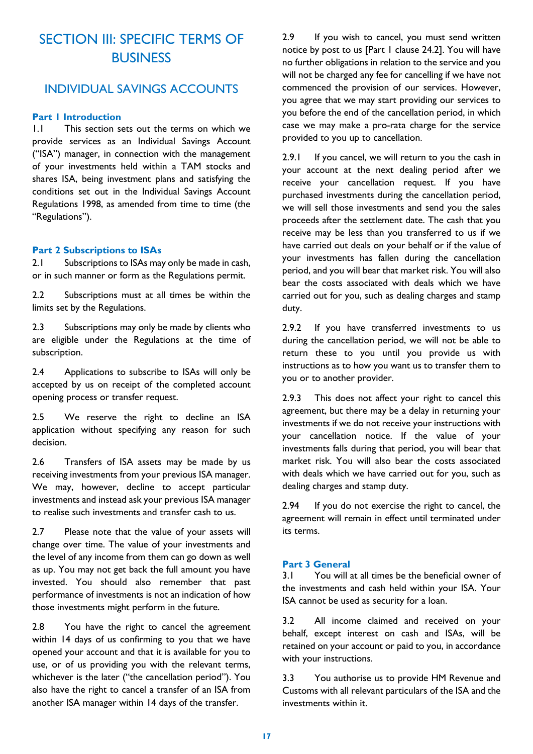# SECTION III: SPECIFIC TERMS OF **BUSINESS**

## INDIVIDUAL SAVINGS ACCOUNTS

## **Part 1 Introduction**

1.1 This section sets out the terms on which we provide services as an Individual Savings Account ("ISA") manager, in connection with the management of your investments held within a TAM stocks and shares ISA, being investment plans and satisfying the conditions set out in the Individual Savings Account Regulations 1998, as amended from time to time (the "Regulations").

#### **Part 2 Subscriptions to ISAs**

2.1 Subscriptions to ISAs may only be made in cash, or in such manner or form as the Regulations permit.

2.2 Subscriptions must at all times be within the limits set by the Regulations.

2.3 Subscriptions may only be made by clients who are eligible under the Regulations at the time of subscription.

2.4 Applications to subscribe to ISAs will only be accepted by us on receipt of the completed account opening process or transfer request.

2.5 We reserve the right to decline an ISA application without specifying any reason for such decision.

2.6 Transfers of ISA assets may be made by us receiving investments from your previous ISA manager. We may, however, decline to accept particular investments and instead ask your previous ISA manager to realise such investments and transfer cash to us.

2.7 Please note that the value of your assets will change over time. The value of your investments and the level of any income from them can go down as well as up. You may not get back the full amount you have invested. You should also remember that past performance of investments is not an indication of how those investments might perform in the future.

2.8 You have the right to cancel the agreement within 14 days of us confirming to you that we have opened your account and that it is available for you to use, or of us providing you with the relevant terms, whichever is the later ("the cancellation period"). You also have the right to cancel a transfer of an ISA from another ISA manager within 14 days of the transfer.

2.9 If you wish to cancel, you must send written notice by post to us [Part 1 clause 24.2]. You will have no further obligations in relation to the service and you will not be charged any fee for cancelling if we have not commenced the provision of our services. However, you agree that we may start providing our services to you before the end of the cancellation period, in which case we may make a pro-rata charge for the service provided to you up to cancellation.

2.9.1 If you cancel, we will return to you the cash in your account at the next dealing period after we receive your cancellation request. If you have purchased investments during the cancellation period, we will sell those investments and send you the sales proceeds after the settlement date. The cash that you receive may be less than you transferred to us if we have carried out deals on your behalf or if the value of your investments has fallen during the cancellation period, and you will bear that market risk. You will also bear the costs associated with deals which we have carried out for you, such as dealing charges and stamp duty.

2.9.2 If you have transferred investments to us during the cancellation period, we will not be able to return these to you until you provide us with instructions as to how you want us to transfer them to you or to another provider.

2.9.3 This does not affect your right to cancel this agreement, but there may be a delay in returning your investments if we do not receive your instructions with your cancellation notice. If the value of your investments falls during that period, you will bear that market risk. You will also bear the costs associated with deals which we have carried out for you, such as dealing charges and stamp duty.

2.94 If you do not exercise the right to cancel, the agreement will remain in effect until terminated under its terms.

#### **Part 3 General**

3.1 You will at all times be the beneficial owner of the investments and cash held within your ISA. Your ISA cannot be used as security for a loan.

3.2 All income claimed and received on your behalf, except interest on cash and ISAs, will be retained on your account or paid to you, in accordance with your instructions.

3.3 You authorise us to provide HM Revenue and Customs with all relevant particulars of the ISA and the investments within it.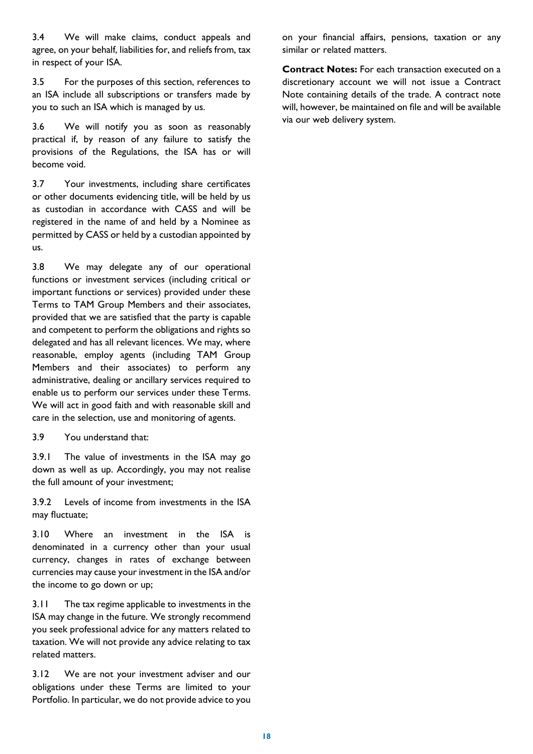3.4 We will make claims, conduct appeals and agree, on your behalf, liabilities for, and reliefs from, tax in respect of your ISA.

3.5 For the purposes of this section, references to an ISA include all subscriptions or transfers made by you to such an ISA which is managed by us.

3.6 We will notify you as soon as reasonably practical if, by reason of any failure to satisfy the provisions of the Regulations, the ISA has or will become void.

3.7 Your investments, including share certificates or other documents evidencing title, will be held by us as custodian in accordance with CASS and will be registered in the name of and held by a Nominee as permitted by CASS or held by a custodian appointed by us.

3.8 We may delegate any of our operational functions or investment services (including critical or important functions or services) provided under these Terms to TAM Group Members and their associates, provided that we are satisfied that the party is capable and competent to perform the obligations and rights so delegated and has all relevant licences. We may, where reasonable, employ agents (including TAM Group Members and their associates) to perform any administrative, dealing or ancillary services required to enable us to perform our services under these Terms. We will act in good faith and with reasonable skill and care in the selection, use and monitoring of agents.

3.9 You understand that:

3.9.1 The value of investments in the ISA may go down as well as up. Accordingly, you may not realise the full amount of your investment;

3.9.2 Levels of income from investments in the ISA may fluctuate;

3.10 Where an investment in the ISA is denominated in a currency other than your usual currency, changes in rates of exchange between currencies may cause your investment in the ISA and/or the income to go down or up;

3.11 The tax regime applicable to investments in the ISA may change in the future. We strongly recommend you seek professional advice for any matters related to taxation. We will not provide any advice relating to tax related matters.

3.12 We are not your investment adviser and our obligations under these Terms are limited to your Portfolio. In particular, we do not provide advice to you

on your financial affairs, pensions, taxation or any similar or related matters.

**Contract Notes:** For each transaction executed on a discretionary account we will not issue a Contract Note containing details of the trade. A contract note will, however, be maintained on file and will be available via our web delivery system.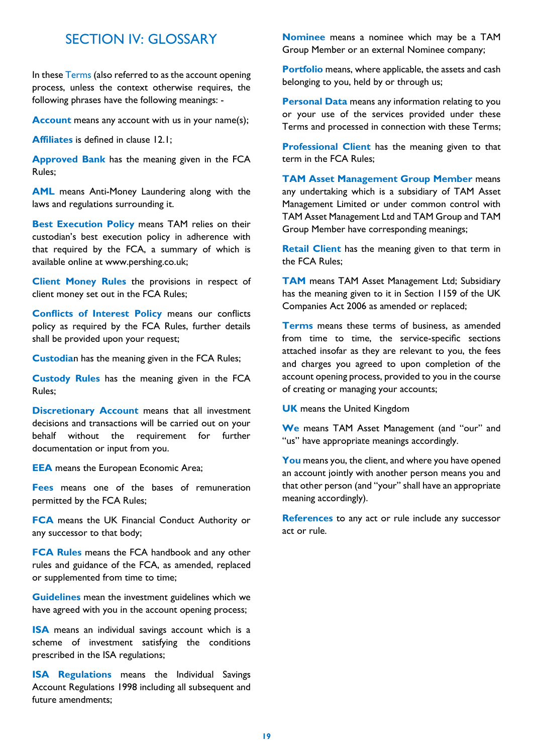## SECTION IV: GLOSSARY

In these Terms (also referred to as the account opening process, unless the context otherwise requires, the following phrases have the following meanings: -

**Account** means any account with us in your name(s);

**Affiliates** is defined in clause 12.1;

**Approved Bank** has the meaning given in the FCA Rules;

**AML** means Anti-Money Laundering along with the laws and regulations surrounding it.

**Best Execution Policy means TAM relies on their** custodian's best execution policy in adherence with that required by the FCA, a summary of which is available online at www.pershing.co.uk;

**Client Money Rules** the provisions in respect of client money set out in the FCA Rules;

**Conflicts of Interest Policy** means our conflicts policy as required by the FCA Rules, further details shall be provided upon your request;

**Custodia**n has the meaning given in the FCA Rules;

**Custody Rules** has the meaning given in the FCA Rules;

**Discretionary Account** means that all investment decisions and transactions will be carried out on your behalf without the requirement for further documentation or input from you.

**EEA** means the European Economic Area;

**Fees** means one of the bases of remuneration permitted by the FCA Rules;

**FCA** means the UK Financial Conduct Authority or any successor to that body;

**FCA Rules** means the FCA handbook and any other rules and guidance of the FCA, as amended, replaced or supplemented from time to time;

**Guidelines** mean the investment guidelines which we have agreed with you in the account opening process;

**ISA** means an individual savings account which is a scheme of investment satisfying the conditions prescribed in the ISA regulations;

**ISA Regulations** means the Individual Savings Account Regulations 1998 including all subsequent and future amendments;

**Nominee** means a nominee which may be a TAM Group Member or an external Nominee company;

**Portfolio** means, where applicable, the assets and cash belonging to you, held by or through us;

**Personal Data** means any information relating to you or your use of the services provided under these Terms and processed in connection with these Terms;

**Professional Client** has the meaning given to that term in the FCA Rules;

**TAM Asset Management Group Member** means any undertaking which is a subsidiary of TAM Asset Management Limited or under common control with TAM Asset Management Ltd and TAM Group and TAM Group Member have corresponding meanings;

**Retail Client** has the meaning given to that term in the FCA Rules;

**TAM** means TAM Asset Management Ltd; Subsidiary has the meaning given to it in Section 1159 of the UK Companies Act 2006 as amended or replaced;

**Terms** means these terms of business, as amended from time to time, the service-specific sections attached insofar as they are relevant to you, the fees and charges you agreed to upon completion of the account opening process, provided to you in the course of creating or managing your accounts;

**UK** means the United Kingdom

**We** means TAM Asset Management (and "our" and "us" have appropriate meanings accordingly.

**You** means you, the client, and where you have opened an account jointly with another person means you and that other person (and "your" shall have an appropriate meaning accordingly).

**References** to any act or rule include any successor act or rule.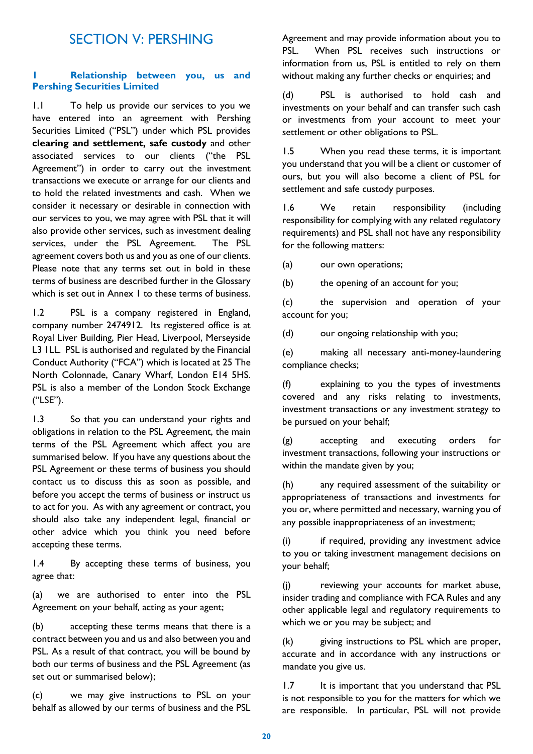## SECTION V: PERSHING

#### **1 Relationship between you, us and Pershing Securities Limited**

1.1 To help us provide our services to you we have entered into an agreement with Pershing Securities Limited ("PSL") under which PSL provides **clearing and settlement, safe custody** and other associated services to our clients ("the PSL Agreement") in order to carry out the investment transactions we execute or arrange for our clients and to hold the related investments and cash. When we consider it necessary or desirable in connection with our services to you, we may agree with PSL that it will also provide other services, such as investment dealing services, under the PSL Agreement. The PSL agreement covers both us and you as one of our clients. Please note that any terms set out in bold in these terms of business are described further in the Glossary which is set out in Annex 1 to these terms of business.

1.2 PSL is a company registered in England, company number 2474912. Its registered office is at Royal Liver Building, Pier Head, Liverpool, Merseyside L3 1LL. PSL is authorised and regulated by the Financial Conduct Authority ("FCA") which is located at 25 The North Colonnade, Canary Wharf, London E14 5HS. PSL is also a member of the London Stock Exchange ("LSE").

1.3 So that you can understand your rights and obligations in relation to the PSL Agreement, the main terms of the PSL Agreement which affect you are summarised below. If you have any questions about the PSL Agreement or these terms of business you should contact us to discuss this as soon as possible, and before you accept the terms of business or instruct us to act for you. As with any agreement or contract, you should also take any independent legal, financial or other advice which you think you need before accepting these terms.

1.4 By accepting these terms of business, you agree that:

(a) we are authorised to enter into the PSL Agreement on your behalf, acting as your agent;

(b) accepting these terms means that there is a contract between you and us and also between you and PSL. As a result of that contract, you will be bound by both our terms of business and the PSL Agreement (as set out or summarised below);

(c) we may give instructions to PSL on your behalf as allowed by our terms of business and the PSL Agreement and may provide information about you to PSL. When PSL receives such instructions or information from us, PSL is entitled to rely on them without making any further checks or enquiries; and

(d) PSL is authorised to hold cash and investments on your behalf and can transfer such cash or investments from your account to meet your settlement or other obligations to PSL.

1.5 When you read these terms, it is important you understand that you will be a client or customer of ours, but you will also become a client of PSL for settlement and safe custody purposes.

1.6 We retain responsibility (including responsibility for complying with any related regulatory requirements) and PSL shall not have any responsibility for the following matters:

(a) our own operations;

(b) the opening of an account for you;

(c) the supervision and operation of your account for you;

(d) our ongoing relationship with you;

(e) making all necessary anti-money-laundering compliance checks;

(f) explaining to you the types of investments covered and any risks relating to investments, investment transactions or any investment strategy to be pursued on your behalf;

(g) accepting and executing orders for investment transactions, following your instructions or within the mandate given by you;

(h) any required assessment of the suitability or appropriateness of transactions and investments for you or, where permitted and necessary, warning you of any possible inappropriateness of an investment;

(i) if required, providing any investment advice to you or taking investment management decisions on your behalf;

(j) reviewing your accounts for market abuse, insider trading and compliance with FCA Rules and any other applicable legal and regulatory requirements to which we or you may be subject; and

(k) giving instructions to PSL which are proper, accurate and in accordance with any instructions or mandate you give us.

1.7 It is important that you understand that PSL is not responsible to you for the matters for which we are responsible. In particular, PSL will not provide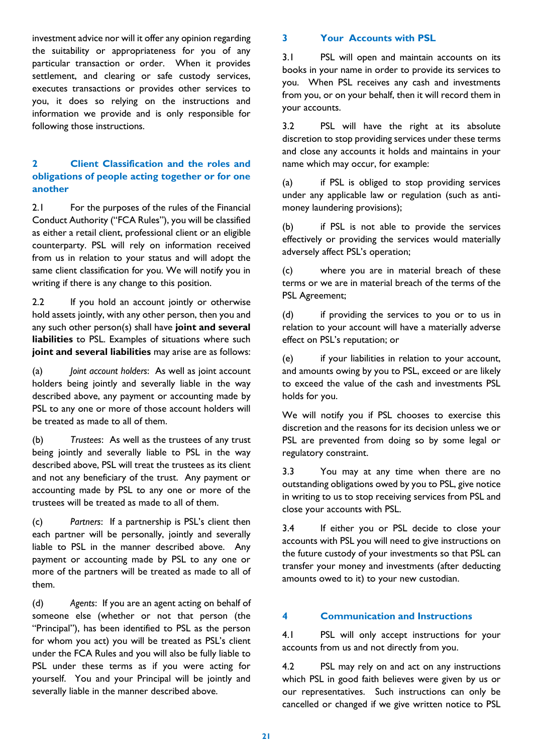investment advice nor will it offer any opinion regarding the suitability or appropriateness for you of any particular transaction or order. When it provides settlement, and clearing or safe custody services, executes transactions or provides other services to you, it does so relying on the instructions and information we provide and is only responsible for following those instructions.

## **2 Client Classification and the roles and obligations of people acting together or for one another**

2.1 For the purposes of the rules of the Financial Conduct Authority ("FCA Rules"), you will be classified as either a retail client, professional client or an eligible counterparty. PSL will rely on information received from us in relation to your status and will adopt the same client classification for you. We will notify you in writing if there is any change to this position.

2.2 If you hold an account jointly or otherwise hold assets jointly, with any other person, then you and any such other person(s) shall have **joint and several liabilities** to PSL. Examples of situations where such **joint and several liabilities** may arise are as follows:

(a) *Joint account holders*: As well as joint account holders being jointly and severally liable in the way described above, any payment or accounting made by PSL to any one or more of those account holders will be treated as made to all of them.

(b) *Trustees*: As well as the trustees of any trust being jointly and severally liable to PSL in the way described above, PSL will treat the trustees as its client and not any beneficiary of the trust. Any payment or accounting made by PSL to any one or more of the trustees will be treated as made to all of them.

(c) *Partners*: If a partnership is PSL's client then each partner will be personally, jointly and severally liable to PSL in the manner described above. Any payment or accounting made by PSL to any one or more of the partners will be treated as made to all of them.

(d) *Agents*: If you are an agent acting on behalf of someone else (whether or not that person (the "Principal"), has been identified to PSL as the person for whom you act) you will be treated as PSL's client under the FCA Rules and you will also be fully liable to PSL under these terms as if you were acting for yourself. You and your Principal will be jointly and severally liable in the manner described above.

## **3 Your Accounts with PSL**

3.1 PSL will open and maintain accounts on its books in your name in order to provide its services to you. When PSL receives any cash and investments from you, or on your behalf, then it will record them in your accounts.

<span id="page-20-1"></span>3.2 PSL will have the right at its absolute discretion to stop providing services under these terms and close any accounts it holds and maintains in your name which may occur, for example:

<span id="page-20-0"></span>(a) if PSL is obliged to stop providing services under any applicable law or regulation (such as antimoney laundering provisions);

(b) if PSL is not able to provide the services effectively or providing the services would materially adversely affect PSL's operation;

(c) where you are in material breach of these terms or we are in material breach of the terms of the PSL Agreement;

(d) if providing the services to you or to us in relation to your account will have a materially adverse effect on PSL's reputation; or

(e) if your liabilities in relation to your account, and amounts owing by you to PSL, exceed or are likely to exceed the value of the cash and investments PSL holds for you.

We will notify you if PSL chooses to exercise this discretion and the reasons for its decision unless we or PSL are prevented from doing so by some legal or regulatory constraint.

3.3 You may at any time when there are no outstanding obligations owed by you to PSL, give notice in writing to us to stop receiving services from PSL and close your accounts with PSL.

3.4 If either you or PSL decide to close your accounts with PSL you will need to give instructions on the future custody of your investments so that PSL can transfer your money and investments (after deducting amounts owed to it) to your new custodian.

## **4 Communication and Instructions**

4.1 PSL will only accept instructions for your accounts from us and not directly from you.

4.2 PSL may rely on and act on any instructions which PSL in good faith believes were given by us or our representatives. Such instructions can only be cancelled or changed if we give written notice to PSL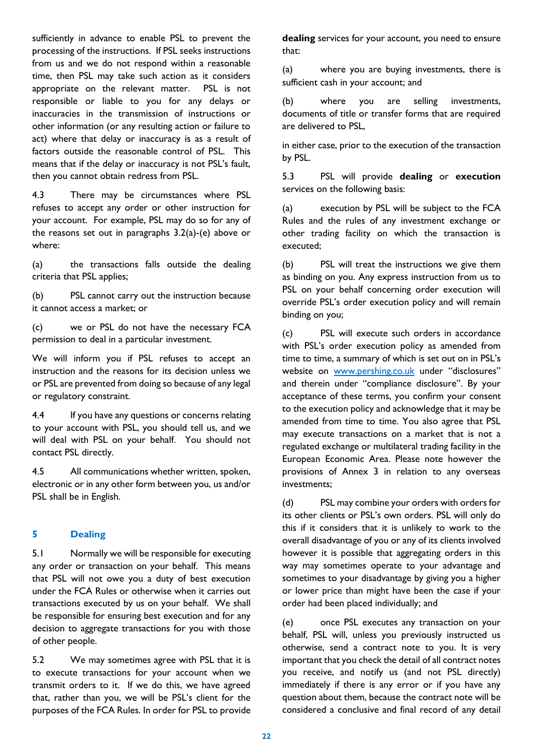sufficiently in advance to enable PSL to prevent the processing of the instructions. If PSL seeks instructions from us and we do not respond within a reasonable time, then PSL may take such action as it considers appropriate on the relevant matter. PSL is not responsible or liable to you for any delays or inaccuracies in the transmission of instructions or other information (or any resulting action or failure to act) where that delay or inaccuracy is as a result of factors outside the reasonable control of PSL. This means that if the delay or inaccuracy is not PSL's fault, then you cannot obtain redress from PSL.

4.3 There may be circumstances where PSL refuses to accept any order or other instruction for your account. For example, PSL may do so for any of the reasons set out in paragraphs [3.2\(a\)-](#page-20-0)(e) above or where:

(a) the transactions falls outside the dealing criteria that PSL applies;

(b) PSL cannot carry out the instruction because it cannot access a market; or

(c) we or PSL do not have the necessary FCA permission to deal in a particular investment.

We will inform you if PSL refuses to accept an instruction and the reasons for its decision unless we or PSL are prevented from doing so because of any legal or regulatory constraint.

4.4 If you have any questions or concerns relating to your account with PSL, you should tell us, and we will deal with PSL on your behalf. You should not contact PSL directly.

4.5 All communications whether written, spoken, electronic or in any other form between you, us and/or PSL shall be in English.

## **5 Dealing**

5.1 Normally we will be responsible for executing any order or transaction on your behalf. This means that PSL will not owe you a duty of best execution under the FCA Rules or otherwise when it carries out transactions executed by us on your behalf. We shall be responsible for ensuring best execution and for any decision to aggregate transactions for you with those of other people.

5.2 We may sometimes agree with PSL that it is to execute transactions for your account when we transmit orders to it. If we do this, we have agreed that, rather than you, we will be PSL's client for the purposes of the FCA Rules. In order for PSL to provide **dealing** services for your account, you need to ensure that:

(a) where you are buying investments, there is sufficient cash in your account; and

(b) where you are selling investments, documents of title or transfer forms that are required are delivered to PSL,

in either case, prior to the execution of the transaction by PSL.

5.3 PSL will provide **dealing** or **execution** services on the following basis:

(a) execution by PSL will be subject to the FCA Rules and the rules of any investment exchange or other trading facility on which the transaction is executed;

(b) PSL will treat the instructions we give them as binding on you. Any express instruction from us to PSL on your behalf concerning order execution will override PSL's order execution policy and will remain binding on you;

(c) PSL will execute such orders in accordance with PSL's order execution policy as amended from time to time, a summary of which is set out on in PSL's website on [www.pershing.co.uk](http://www.pershing.co.uk/) under "disclosures" and therein under "compliance disclosure". By your acceptance of these terms, you confirm your consent to the execution policy and acknowledge that it may be amended from time to time. You also agree that PSL may execute transactions on a market that is not a regulated exchange or multilateral trading facility in the European Economic Area. Please note however the provisions of Annex 3 in relation to any overseas investments;

(d) PSL may combine your orders with orders for its other clients or PSL's own orders. PSL will only do this if it considers that it is unlikely to work to the overall disadvantage of you or any of its clients involved however it is possible that aggregating orders in this way may sometimes operate to your advantage and sometimes to your disadvantage by giving you a higher or lower price than might have been the case if your order had been placed individually; and

(e) once PSL executes any transaction on your behalf, PSL will, unless you previously instructed us otherwise, send a contract note to you. It is very important that you check the detail of all contract notes you receive, and notify us (and not PSL directly) immediately if there is any error or if you have any question about them, because the contract note will be considered a conclusive and final record of any detail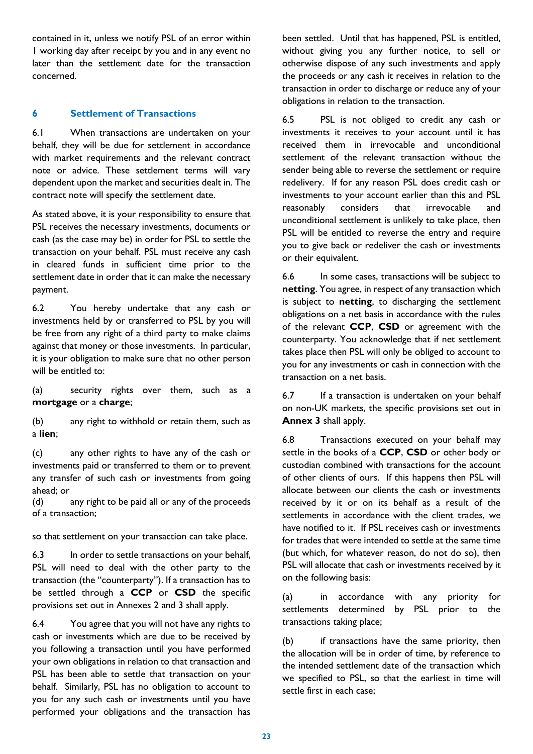contained in it, unless we notify PSL of an error within 1 working day after receipt by you and in any event no later than the settlement date for the transaction concerned.

## **6 Settlement of Transactions**

6.1 When transactions are undertaken on your behalf, they will be due for settlement in accordance with market requirements and the relevant contract note or advice. These settlement terms will vary dependent upon the market and securities dealt in. The contract note will specify the settlement date.

As stated above, it is your responsibility to ensure that PSL receives the necessary investments, documents or cash (as the case may be) in order for PSL to settle the transaction on your behalf. PSL must receive any cash in cleared funds in sufficient time prior to the settlement date in order that it can make the necessary payment.

6.2 You hereby undertake that any cash or investments held by or transferred to PSL by you will be free from any right of a third party to make claims against that money or those investments. In particular, it is your obligation to make sure that no other person will be entitled to:

(a) security rights over them, such as a **mortgage** or a **charge**;

(b) any right to withhold or retain them, such as a **lien**;

(c) any other rights to have any of the cash or investments paid or transferred to them or to prevent any transfer of such cash or investments from going ahead; or

(d) any right to be paid all or any of the proceeds of a transaction;

so that settlement on your transaction can take place.

6.3 In order to settle transactions on your behalf, PSL will need to deal with the other party to the transaction (the "counterparty"). If a transaction has to be settled through a **CCP** or **CSD** the specific provisions set out in Annexes 2 and 3 shall apply.

6.4 You agree that you will not have any rights to cash or investments which are due to be received by you following a transaction until you have performed your own obligations in relation to that transaction and PSL has been able to settle that transaction on your behalf. Similarly, PSL has no obligation to account to you for any such cash or investments until you have performed your obligations and the transaction has been settled. Until that has happened, PSL is entitled, without giving you any further notice, to sell or otherwise dispose of any such investments and apply the proceeds or any cash it receives in relation to the transaction in order to discharge or reduce any of your obligations in relation to the transaction.

6.5 PSL is not obliged to credit any cash or investments it receives to your account until it has received them in irrevocable and unconditional settlement of the relevant transaction without the sender being able to reverse the settlement or require redelivery. If for any reason PSL does credit cash or investments to your account earlier than this and PSL reasonably considers that irrevocable and unconditional settlement is unlikely to take place, then PSL will be entitled to reverse the entry and require you to give back or redeliver the cash or investments or their equivalent.

6.6 In some cases, transactions will be subject to **netting**. You agree, in respect of any transaction which is subject to **netting**, to discharging the settlement obligations on a net basis in accordance with the rules of the relevant **CCP**, **CSD** or agreement with the counterparty. You acknowledge that if net settlement takes place then PSL will only be obliged to account to you for any investments or cash in connection with the transaction on a net basis.

6.7 If a transaction is undertaken on your behalf on non-UK markets, the specific provisions set out in **Annex 3** shall apply.

6.8 Transactions executed on your behalf may settle in the books of a **CCP**, **CSD** or other body or custodian combined with transactions for the account of other clients of ours. If this happens then PSL will allocate between our clients the cash or investments received by it or on its behalf as a result of the settlements in accordance with the client trades, we have notified to it. If PSL receives cash or investments for trades that were intended to settle at the same time (but which, for whatever reason, do not do so), then PSL will allocate that cash or investments received by it on the following basis:

(a) in accordance with any priority for settlements determined by PSL prior to the transactions taking place;

(b) if transactions have the same priority, then the allocation will be in order of time, by reference to the intended settlement date of the transaction which we specified to PSL, so that the earliest in time will settle first in each case;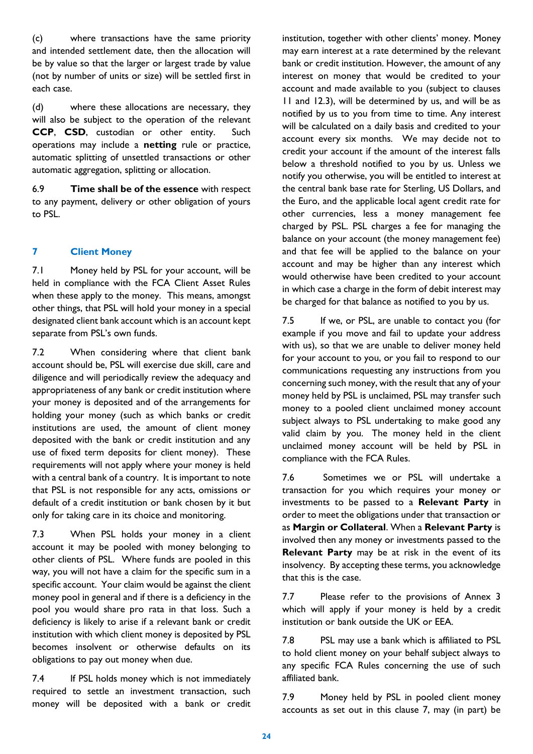(c) where transactions have the same priority and intended settlement date, then the allocation will be by value so that the larger or largest trade by value (not by number of units or size) will be settled first in each case.

(d) where these allocations are necessary, they will also be subject to the operation of the relevant **CCP**, **CSD**, custodian or other entity. Such operations may include a **netting** rule or practice, automatic splitting of unsettled transactions or other automatic aggregation, splitting or allocation.

6.9 **Time shall be of the essence** with respect to any payment, delivery or other obligation of yours to PSL.

## **7 Client Money**

7.1 Money held by PSL for your account, will be held in compliance with the FCA Client Asset Rules when these apply to the money. This means, amongst other things, that PSL will hold your money in a special designated client bank account which is an account kept separate from PSL's own funds.

7.2 When considering where that client bank account should be, PSL will exercise due skill, care and diligence and will periodically review the adequacy and appropriateness of any bank or credit institution where your money is deposited and of the arrangements for holding your money (such as which banks or credit institutions are used, the amount of client money deposited with the bank or credit institution and any use of fixed term deposits for client money). These requirements will not apply where your money is held with a central bank of a country. It is important to note that PSL is not responsible for any acts, omissions or default of a credit institution or bank chosen by it but only for taking care in its choice and monitoring.

7.3 When PSL holds your money in a client account it may be pooled with money belonging to other clients of PSL. Where funds are pooled in this way, you will not have a claim for the specific sum in a specific account. Your claim would be against the client money pool in general and if there is a deficiency in the pool you would share pro rata in that loss. Such a deficiency is likely to arise if a relevant bank or credit institution with which client money is deposited by PSL becomes insolvent or otherwise defaults on its obligations to pay out money when due.

7.4 If PSL holds money which is not immediately required to settle an investment transaction, such money will be deposited with a bank or credit institution, together with other clients' money. Money may earn interest at a rate determined by the relevant bank or credit institution. However, the amount of any interest on money that would be credited to your account and made available to you (subject to clauses 11 and 12.3), will be determined by us, and will be as notified by us to you from time to time. Any interest will be calculated on a daily basis and credited to your account every six months. We may decide not to credit your account if the amount of the interest falls below a threshold notified to you by us. Unless we notify you otherwise, you will be entitled to interest at the central bank base rate for Sterling, US Dollars, and the Euro, and the applicable local agent credit rate for other currencies, less a money management fee charged by PSL. PSL charges a fee for managing the balance on your account (the money management fee) and that fee will be applied to the balance on your account and may be higher than any interest which would otherwise have been credited to your account in which case a charge in the form of debit interest may be charged for that balance as notified to you by us.

7.5 If we, or PSL, are unable to contact you (for example if you move and fail to update your address with us), so that we are unable to deliver money held for your account to you, or you fail to respond to our communications requesting any instructions from you concerning such money, with the result that any of your money held by PSL is unclaimed, PSL may transfer such money to a pooled client unclaimed money account subject always to PSL undertaking to make good any valid claim by you. The money held in the client unclaimed money account will be held by PSL in compliance with the FCA Rules.

7.6 Sometimes we or PSL will undertake a transaction for you which requires your money or investments to be passed to a **Relevant Party** in order to meet the obligations under that transaction or as **Margin or Collateral**. When a **Relevant Party** is involved then any money or investments passed to the **Relevant Party** may be at risk in the event of its insolvency. By accepting these terms, you acknowledge that this is the case.

7.7 Please refer to the provisions of Annex 3 which will apply if your money is held by a credit institution or bank outside the UK or EEA.

7.8 PSL may use a bank which is affiliated to PSL to hold client money on your behalf subject always to any specific FCA Rules concerning the use of such affiliated bank.

7.9 Money held by PSL in pooled client money accounts as set out in this clause 7, may (in part) be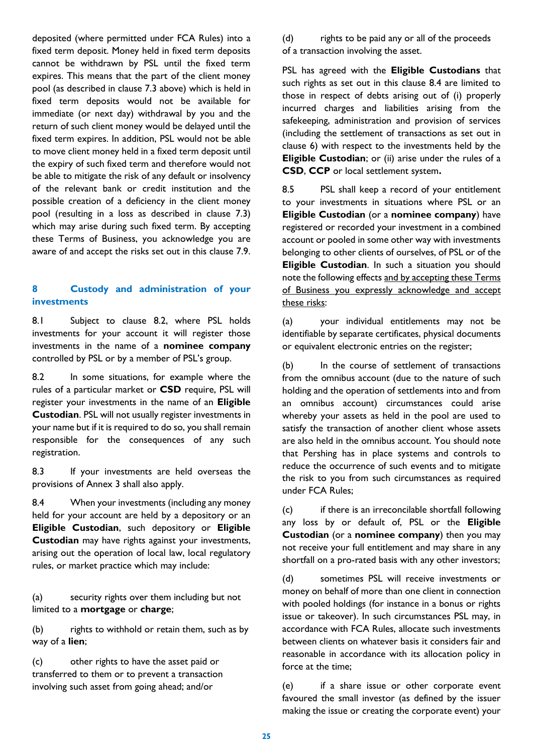deposited (where permitted under FCA Rules) into a fixed term deposit. Money held in fixed term deposits cannot be withdrawn by PSL until the fixed term expires. This means that the part of the client money pool (as described in clause 7.3 above) which is held in fixed term deposits would not be available for immediate (or next day) withdrawal by you and the return of such client money would be delayed until the fixed term expires. In addition, PSL would not be able to move client money held in a fixed term deposit until the expiry of such fixed term and therefore would not be able to mitigate the risk of any default or insolvency of the relevant bank or credit institution and the possible creation of a deficiency in the client money pool (resulting in a loss as described in clause 7.3) which may arise during such fixed term. By accepting these Terms of Business, you acknowledge you are aware of and accept the risks set out in this clause 7.9.

## **8 Custody and administration of your investments**

8.1 Subject to clause 8.2, where PSL holds investments for your account it will register those investments in the name of a **nominee company** controlled by PSL or by a member of PSL's group.

8.2 In some situations, for example where the rules of a particular market or **CSD** require, PSL will register your investments in the name of an **Eligible Custodian**. PSL will not usually register investments in your name but if it is required to do so, you shall remain responsible for the consequences of any such registration.

8.3 If your investments are held overseas the provisions of Annex 3 shall also apply.

8.4 When your investments (including any money held for your account are held by a depository or an **Eligible Custodian**, such depository or **Eligible Custodian** may have rights against your investments, arising out the operation of local law, local regulatory rules, or market practice which may include:

(a) security rights over them including but not limited to a **mortgage** or **charge**;

(b) rights to withhold or retain them, such as by way of a **lien**;

(c) other rights to have the asset paid or transferred to them or to prevent a transaction involving such asset from going ahead; and/or

(d) rights to be paid any or all of the proceeds of a transaction involving the asset.

PSL has agreed with the **Eligible Custodians** that such rights as set out in this clause 8.4 are limited to those in respect of debts arising out of (i) properly incurred charges and liabilities arising from the safekeeping, administration and provision of services (including the settlement of transactions as set out in clause 6) with respect to the investments held by the **Eligible Custodian**; or (ii) arise under the rules of a **CSD**, **CCP** or local settlement system**.**

8.5 PSL shall keep a record of your entitlement to your investments in situations where PSL or an **Eligible Custodian** (or a **nominee company**) have registered or recorded your investment in a combined account or pooled in some other way with investments belonging to other clients of ourselves, of PSL or of the **Eligible Custodian**. In such a situation you should note the following effects and by accepting these Terms of Business you expressly acknowledge and accept these risks:

(a) your individual entitlements may not be identifiable by separate certificates, physical documents or equivalent electronic entries on the register;

(b) In the course of settlement of transactions from the omnibus account (due to the nature of such holding and the operation of settlements into and from an omnibus account) circumstances could arise whereby your assets as held in the pool are used to satisfy the transaction of another client whose assets are also held in the omnibus account. You should note that Pershing has in place systems and controls to reduce the occurrence of such events and to mitigate the risk to you from such circumstances as required under FCA Rules;

(c) if there is an irreconcilable shortfall following any loss by or default of, PSL or the **Eligible Custodian** (or a **nominee company**) then you may not receive your full entitlement and may share in any shortfall on a pro-rated basis with any other investors;

(d) sometimes PSL will receive investments or money on behalf of more than one client in connection with pooled holdings (for instance in a bonus or rights issue or takeover). In such circumstances PSL may, in accordance with FCA Rules, allocate such investments between clients on whatever basis it considers fair and reasonable in accordance with its allocation policy in force at the time;

(e) if a share issue or other corporate event favoured the small investor (as defined by the issuer making the issue or creating the corporate event) your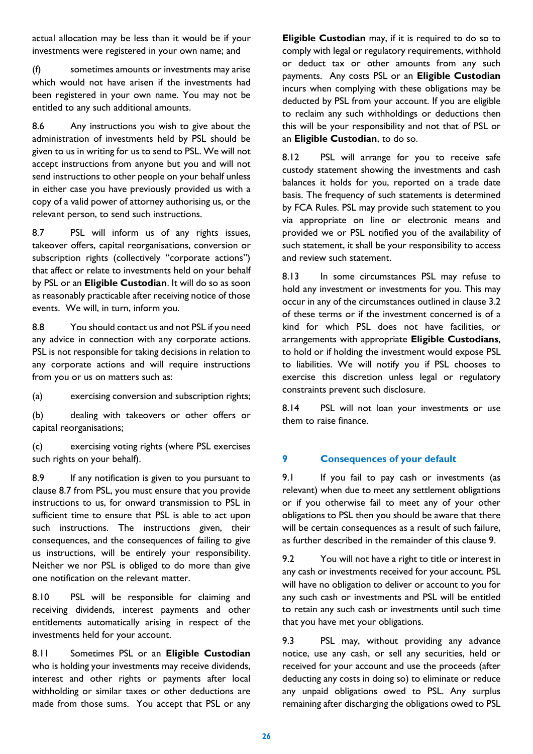actual allocation may be less than it would be if your investments were registered in your own name; and

(f) sometimes amounts or investments may arise which would not have arisen if the investments had been registered in your own name. You may not be entitled to any such additional amounts.

8.6 Any instructions you wish to give about the administration of investments held by PSL should be given to us in writing for us to send to PSL. We will not accept instructions from anyone but you and will not send instructions to other people on your behalf unless in either case you have previously provided us with a copy of a valid power of attorney authorising us, or the relevant person, to send such instructions.

<span id="page-25-0"></span>8.7 PSL will inform us of any rights issues, takeover offers, capital reorganisations, conversion or subscription rights (collectively "corporate actions") that affect or relate to investments held on your behalf by PSL or an **Eligible Custodian**. It will do so as soon as reasonably practicable after receiving notice of those events. We will, in turn, inform you.

8.8 You should contact us and not PSL if you need any advice in connection with any corporate actions. PSL is not responsible for taking decisions in relation to any corporate actions and will require instructions from you or us on matters such as:

(a) exercising conversion and subscription rights;

(b) dealing with takeovers or other offers or capital reorganisations;

(c) exercising voting rights (where PSL exercises such rights on your behalf).

8.9 If any notification is given to you pursuant to clause [8.7](#page-25-0) from PSL, you must ensure that you provide instructions to us, for onward transmission to PSL in sufficient time to ensure that PSL is able to act upon such instructions. The instructions given, their consequences, and the consequences of failing to give us instructions, will be entirely your responsibility. Neither we nor PSL is obliged to do more than give one notification on the relevant matter.

8.10 PSL will be responsible for claiming and receiving dividends, interest payments and other entitlements automatically arising in respect of the investments held for your account.

8.11 Sometimes PSL or an **Eligible Custodian** who is holding your investments may receive dividends, interest and other rights or payments after local withholding or similar taxes or other deductions are made from those sums. You accept that PSL or any

**Eligible Custodian** may, if it is required to do so to comply with legal or regulatory requirements, withhold or deduct tax or other amounts from any such payments. Any costs PSL or an **Eligible Custodian** incurs when complying with these obligations may be deducted by PSL from your account. If you are eligible to reclaim any such withholdings or deductions then this will be your responsibility and not that of PSL or an **Eligible Custodian**, to do so.

8.12 PSL will arrange for you to receive safe custody statement showing the investments and cash balances it holds for you, reported on a trade date basis. The frequency of such statements is determined by FCA Rules. PSL may provide such statement to you via appropriate on line or electronic means and provided we or PSL notified you of the availability of such statement, it shall be your responsibility to access and review such statement.

8.13 In some circumstances PSL may refuse to hold any investment or investments for you. This may occur in any of the circumstances outlined in clause [3.2](#page-20-1) of these terms or if the investment concerned is of a kind for which PSL does not have facilities, or arrangements with appropriate **Eligible Custodians**, to hold or if holding the investment would expose PSL to liabilities. We will notify you if PSL chooses to exercise this discretion unless legal or regulatory constraints prevent such disclosure.

8.14 PSL will not loan your investments or use them to raise finance.

## **9 Consequences of your default**

9.1 If you fail to pay cash or investments (as relevant) when due to meet any settlement obligations or if you otherwise fail to meet any of your other obligations to PSL then you should be aware that there will be certain consequences as a result of such failure, as further described in the remainder of this clause 9.

9.2 You will not have a right to title or interest in any cash or investments received for your account. PSL will have no obligation to deliver or account to you for any such cash or investments and PSL will be entitled to retain any such cash or investments until such time that you have met your obligations.

9.3 PSL may, without providing any advance notice, use any cash, or sell any securities, held or received for your account and use the proceeds (after deducting any costs in doing so) to eliminate or reduce any unpaid obligations owed to PSL. Any surplus remaining after discharging the obligations owed to PSL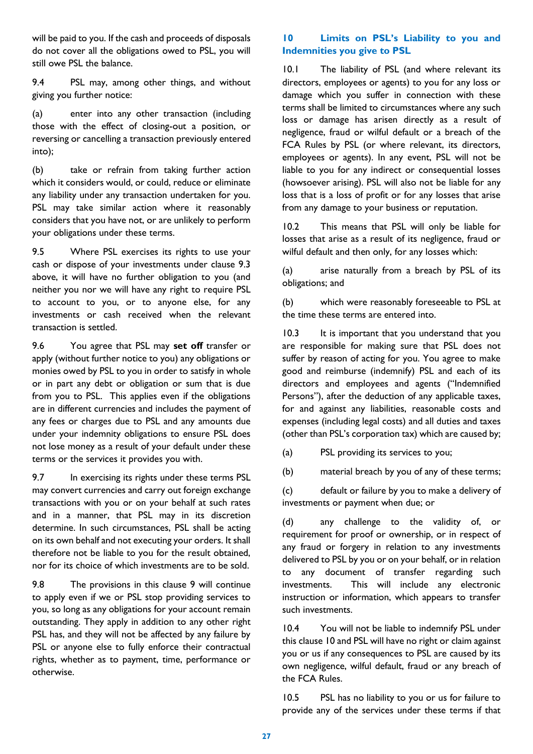will be paid to you. If the cash and proceeds of disposals do not cover all the obligations owed to PSL, you will still owe PSL the balance.

9.4 PSL may, among other things, and without giving you further notice:

(a) enter into any other transaction (including those with the effect of closing-out a position, or reversing or cancelling a transaction previously entered into);

(b) take or refrain from taking further action which it considers would, or could, reduce or eliminate any liability under any transaction undertaken for you. PSL may take similar action where it reasonably considers that you have not, or are unlikely to perform your obligations under these terms.

9.5 Where PSL exercises its rights to use your cash or dispose of your investments under clause 9.3 above, it will have no further obligation to you (and neither you nor we will have any right to require PSL to account to you, or to anyone else, for any investments or cash received when the relevant transaction is settled.

9.6 You agree that PSL may **set off** transfer or apply (without further notice to you) any obligations or monies owed by PSL to you in order to satisfy in whole or in part any debt or obligation or sum that is due from you to PSL. This applies even if the obligations are in different currencies and includes the payment of any fees or charges due to PSL and any amounts due under your indemnity obligations to ensure PSL does not lose money as a result of your default under these terms or the services it provides you with.

9.7 In exercising its rights under these terms PSL may convert currencies and carry out foreign exchange transactions with you or on your behalf at such rates and in a manner, that PSL may in its discretion determine. In such circumstances, PSL shall be acting on its own behalf and not executing your orders. It shall therefore not be liable to you for the result obtained, nor for its choice of which investments are to be sold.

9.8 The provisions in this clause 9 will continue to apply even if we or PSL stop providing services to you, so long as any obligations for your account remain outstanding. They apply in addition to any other right PSL has, and they will not be affected by any failure by PSL or anyone else to fully enforce their contractual rights, whether as to payment, time, performance or otherwise.

## **10 Limits on PSL's Liability to you and Indemnities you give to PSL**

10.1 The liability of PSL (and where relevant its directors, employees or agents) to you for any loss or damage which you suffer in connection with these terms shall be limited to circumstances where any such loss or damage has arisen directly as a result of negligence, fraud or wilful default or a breach of the FCA Rules by PSL (or where relevant, its directors, employees or agents). In any event, PSL will not be liable to you for any indirect or consequential losses (howsoever arising). PSL will also not be liable for any loss that is a loss of profit or for any losses that arise from any damage to your business or reputation.

10.2 This means that PSL will only be liable for losses that arise as a result of its negligence, fraud or wilful default and then only, for any losses which:

(a) arise naturally from a breach by PSL of its obligations; and

(b) which were reasonably foreseeable to PSL at the time these terms are entered into.

10.3 It is important that you understand that you are responsible for making sure that PSL does not suffer by reason of acting for you. You agree to make good and reimburse (indemnify) PSL and each of its directors and employees and agents ("Indemnified Persons"), after the deduction of any applicable taxes, for and against any liabilities, reasonable costs and expenses (including legal costs) and all duties and taxes (other than PSL's corporation tax) which are caused by;

(a) PSL providing its services to you;

(b) material breach by you of any of these terms;

(c) default or failure by you to make a delivery of investments or payment when due; or

(d) any challenge to the validity of, or requirement for proof or ownership, or in respect of any fraud or forgery in relation to any investments delivered to PSL by you or on your behalf, or in relation to any document of transfer regarding such investments. This will include any electronic instruction or information, which appears to transfer such investments.

10.4 You will not be liable to indemnify PSL under this clause 10 and PSL will have no right or claim against you or us if any consequences to PSL are caused by its own negligence, wilful default, fraud or any breach of the FCA Rules.

10.5 PSL has no liability to you or us for failure to provide any of the services under these terms if that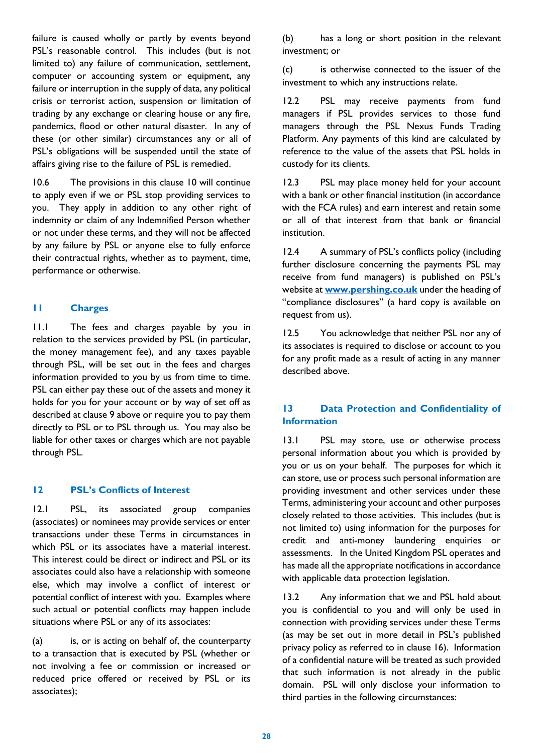failure is caused wholly or partly by events beyond PSL's reasonable control. This includes (but is not limited to) any failure of communication, settlement, computer or accounting system or equipment, any failure or interruption in the supply of data, any political crisis or terrorist action, suspension or limitation of trading by any exchange or clearing house or any fire, pandemics, flood or other natural disaster. In any of these (or other similar) circumstances any or all of PSL's obligations will be suspended until the state of affairs giving rise to the failure of PSL is remedied.

10.6 The provisions in this clause 10 will continue to apply even if we or PSL stop providing services to you. They apply in addition to any other right of indemnity or claim of any Indemnified Person whether or not under these terms, and they will not be affected by any failure by PSL or anyone else to fully enforce their contractual rights, whether as to payment, time, performance or otherwise.

## **11 Charges**

11.1 The fees and charges payable by you in relation to the services provided by PSL (in particular, the money management fee), and any taxes payable through PSL, will be set out in the fees and charges information provided to you by us from time to time. PSL can either pay these out of the assets and money it holds for you for your account or by way of set off as described at clause 9 above or require you to pay them directly to PSL or to PSL through us. You may also be liable for other taxes or charges which are not payable through PSL.

#### **12 PSL's Conflicts of Interest**

12.1 PSL, its associated group companies (associates) or nominees may provide services or enter transactions under these Terms in circumstances in which PSL or its associates have a material interest. This interest could be direct or indirect and PSL or its associates could also have a relationship with someone else, which may involve a conflict of interest or potential conflict of interest with you. Examples where such actual or potential conflicts may happen include situations where PSL or any of its associates:

(a) is, or is acting on behalf of, the counterparty to a transaction that is executed by PSL (whether or not involving a fee or commission or increased or reduced price offered or received by PSL or its associates);

(b) has a long or short position in the relevant investment; or

(c) is otherwise connected to the issuer of the investment to which any instructions relate.

12.2 PSL may receive payments from fund managers if PSL provides services to those fund managers through the PSL Nexus Funds Trading Platform. Any payments of this kind are calculated by reference to the value of the assets that PSL holds in custody for its clients.

12.3 PSL may place money held for your account with a bank or other financial institution (in accordance with the FCA rules) and earn interest and retain some or all of that interest from that bank or financial institution.

12.4 A summary of PSL's conflicts policy (including further disclosure concerning the payments PSL may receive from fund managers) is published on PSL's website at **[www.pershing.co.uk](http://www.pershing.co.uk/)** under the heading of "compliance disclosures" (a hard copy is available on request from us).

12.5 You acknowledge that neither PSL nor any of its associates is required to disclose or account to you for any profit made as a result of acting in any manner described above.

## **13 Data Protection and Confidentiality of Information**

13.1 PSL may store, use or otherwise process personal information about you which is provided by you or us on your behalf. The purposes for which it can store, use or process such personal information are providing investment and other services under these Terms, administering your account and other purposes closely related to those activities. This includes (but is not limited to) using information for the purposes for credit and anti-money laundering enquiries or assessments. In the United Kingdom PSL operates and has made all the appropriate notifications in accordance with applicable data protection legislation.

13.2 Any information that we and PSL hold about you is confidential to you and will only be used in connection with providing services under these Terms (as may be set out in more detail in PSL's published privacy policy as referred to in clause 16). Information of a confidential nature will be treated as such provided that such information is not already in the public domain. PSL will only disclose your information to third parties in the following circumstances: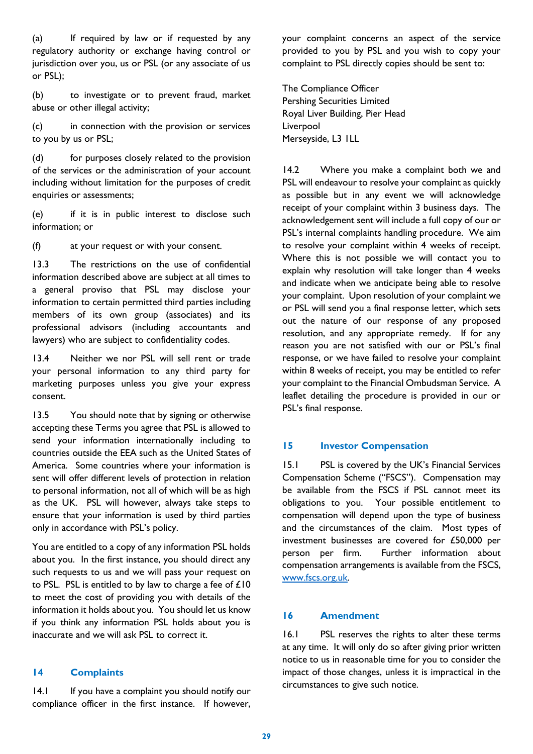(a) If required by law or if requested by any regulatory authority or exchange having control or jurisdiction over you, us or PSL (or any associate of us or PSL);

(b) to investigate or to prevent fraud, market abuse or other illegal activity;

(c) in connection with the provision or services to you by us or PSL;

(d) for purposes closely related to the provision of the services or the administration of your account including without limitation for the purposes of credit enquiries or assessments;

(e) if it is in public interest to disclose such information; or

(f) at your request or with your consent.

13.3 The restrictions on the use of confidential information described above are subject at all times to a general proviso that PSL may disclose your information to certain permitted third parties including members of its own group (associates) and its professional advisors (including accountants and lawyers) who are subject to confidentiality codes.

13.4 Neither we nor PSL will sell rent or trade your personal information to any third party for marketing purposes unless you give your express consent.

13.5 You should note that by signing or otherwise accepting these Terms you agree that PSL is allowed to send your information internationally including to countries outside the EEA such as the United States of America. Some countries where your information is sent will offer different levels of protection in relation to personal information, not all of which will be as high as the UK. PSL will however, always take steps to ensure that your information is used by third parties only in accordance with PSL's policy.

You are entitled to a copy of any information PSL holds about you. In the first instance, you should direct any such requests to us and we will pass your request on to PSL. PSL is entitled to by law to charge a fee of  $£10$ to meet the cost of providing you with details of the information it holds about you. You should let us know if you think any information PSL holds about you is inaccurate and we will ask PSL to correct it.

#### **14 Complaints**

14.1 If you have a complaint you should notify our compliance officer in the first instance. If however, your complaint concerns an aspect of the service provided to you by PSL and you wish to copy your complaint to PSL directly copies should be sent to:

The Compliance Officer Pershing Securities Limited Royal Liver Building, Pier Head Liverpool Merseyside, L3 1LL

14.2 Where you make a complaint both we and PSL will endeavour to resolve your complaint as quickly as possible but in any event we will acknowledge receipt of your complaint within 3 business days. The acknowledgement sent will include a full copy of our or PSL's internal complaints handling procedure. We aim to resolve your complaint within 4 weeks of receipt. Where this is not possible we will contact you to explain why resolution will take longer than 4 weeks and indicate when we anticipate being able to resolve your complaint. Upon resolution of your complaint we or PSL will send you a final response letter, which sets out the nature of our response of any proposed resolution, and any appropriate remedy. If for any reason you are not satisfied with our or PSL's final response, or we have failed to resolve your complaint within 8 weeks of receipt, you may be entitled to refer your complaint to the Financial Ombudsman Service. A leaflet detailing the procedure is provided in our or PSL's final response.

## **15 Investor Compensation**

15.1 PSL is covered by the UK's Financial Services Compensation Scheme ("FSCS"). Compensation may be available from the FSCS if PSL cannot meet its obligations to you. Your possible entitlement to compensation will depend upon the type of business and the circumstances of the claim. Most types of investment businesses are covered for £50,000 per person per firm. Further information about compensation arrangements is available from the FSCS, [www.fscs.org.uk.](http://www.fscs.org.uk/)

#### **16 Amendment**

16.1 PSL reserves the rights to alter these terms at any time. It will only do so after giving prior written notice to us in reasonable time for you to consider the impact of those changes, unless it is impractical in the circumstances to give such notice.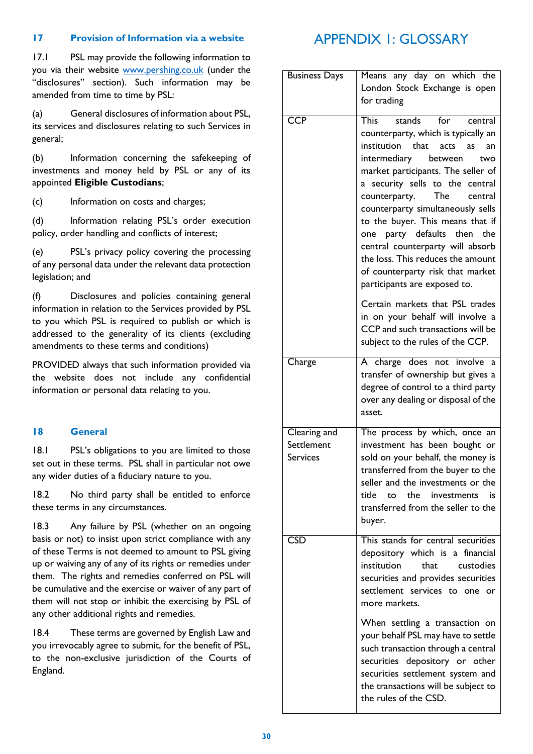## **17 Provision of Information via a website**

17.1 PSL may provide the following information to you via their website [www.pershing.co.uk](http://www.pershing.co.uk/) (under the "disclosures" section). Such information may be amended from time to time by PSL:

(a) General disclosures of information about PSL, its services and disclosures relating to such Services in general;

(b) Information concerning the safekeeping of investments and money held by PSL or any of its appointed **Eligible Custodians**;

(c) Information on costs and charges;

(d) Information relating PSL's order execution policy, order handling and conflicts of interest;

(e) PSL's privacy policy covering the processing of any personal data under the relevant data protection legislation; and

(f) Disclosures and policies containing general information in relation to the Services provided by PSL to you which PSL is required to publish or which is addressed to the generality of its clients (excluding amendments to these terms and conditions)

PROVIDED always that such information provided via the website does not include any confidential information or personal data relating to you.

## **18 General**

18.1 PSL's obligations to you are limited to those set out in these terms. PSL shall in particular not owe any wider duties of a fiduciary nature to you.

18.2 No third party shall be entitled to enforce these terms in any circumstances.

18.3 Any failure by PSL (whether on an ongoing basis or not) to insist upon strict compliance with any of these Terms is not deemed to amount to PSL giving up or waiving any of any of its rights or remedies under them. The rights and remedies conferred on PSL will be cumulative and the exercise or waiver of any part of them will not stop or inhibit the exercising by PSL of any other additional rights and remedies.

18.4 These terms are governed by English Law and you irrevocably agree to submit, for the benefit of PSL, to the non-exclusive jurisdiction of the Courts of England.

# APPENDIX 1: GLOSSARY

| <b>Business Days</b>                          | Means any day on which the<br>London Stock Exchange is open<br>for trading                                                                                                                                                                                                                                                                                                                                                                                                                                                                                                                                                                                         |
|-----------------------------------------------|--------------------------------------------------------------------------------------------------------------------------------------------------------------------------------------------------------------------------------------------------------------------------------------------------------------------------------------------------------------------------------------------------------------------------------------------------------------------------------------------------------------------------------------------------------------------------------------------------------------------------------------------------------------------|
| <b>CCP</b>                                    | This<br>stands<br>for<br>central<br>counterparty, which is typically an<br>institution that acts<br>as<br>an<br>intermediary<br>between<br>two<br>market participants. The seller of<br>a security sells to the central<br>counterparty.<br>The<br>central<br>counterparty simultaneously sells<br>to the buyer. This means that if<br>one party defaults then<br>the<br>central counterparty will absorb<br>the loss. This reduces the amount<br>of counterparty risk that market<br>participants are exposed to.<br>Certain markets that PSL trades<br>in on your behalf will involve a<br>CCP and such transactions will be<br>subject to the rules of the CCP. |
| Charge                                        | A charge does not involve<br>a<br>transfer of ownership but gives a<br>degree of control to a third party<br>over any dealing or disposal of the<br>asset.                                                                                                                                                                                                                                                                                                                                                                                                                                                                                                         |
| Clearing and<br>Settlement<br><b>Services</b> | The process by which, once an<br>investment has been bought or<br>sold on your behalf, the money is<br>transferred from the buyer to the<br>seller and the investments or the<br>to the investments<br>title.<br>is<br>transferred from the seller to the<br>buyer.                                                                                                                                                                                                                                                                                                                                                                                                |
| <b>CSD</b>                                    | This stands for central securities<br>depository which is a financial<br>institution<br>that.<br>custodies<br>securities and provides securities<br>settlement services to one or<br>more markets.                                                                                                                                                                                                                                                                                                                                                                                                                                                                 |
|                                               | When settling a transaction on<br>your behalf PSL may have to settle<br>such transaction through a central<br>securities depository or other<br>securities settlement system and<br>the transactions will be subject to<br>the rules of the CSD.                                                                                                                                                                                                                                                                                                                                                                                                                   |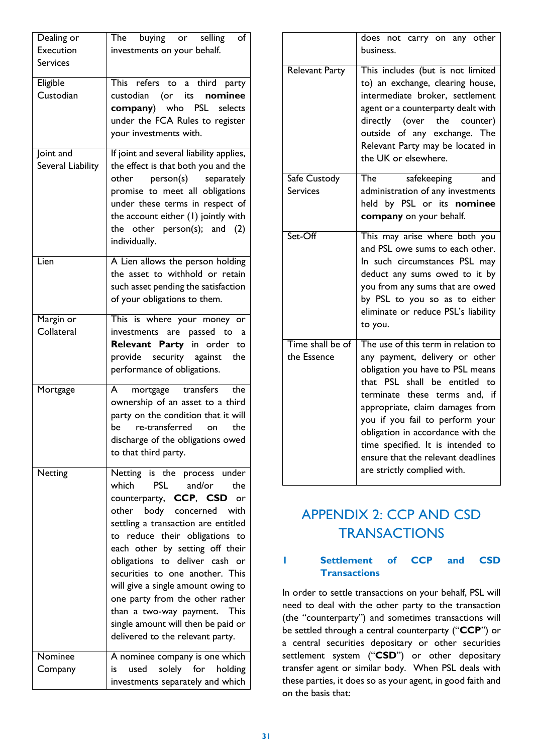| Dealing or<br>Execution<br><b>Services</b> | The buying or selling<br>of<br>investments on your behalf.                                                                                                                                                                                                                                                                                                                                                                                                                                                              |
|--------------------------------------------|-------------------------------------------------------------------------------------------------------------------------------------------------------------------------------------------------------------------------------------------------------------------------------------------------------------------------------------------------------------------------------------------------------------------------------------------------------------------------------------------------------------------------|
| Eligible<br>Custodian                      | This refers to a third party<br>custodian (or its<br>nominee<br>company) who PSL selects<br>under the FCA Rules to register<br>your investments with.                                                                                                                                                                                                                                                                                                                                                                   |
| Joint and<br>Several Liability             | If joint and several liability applies,<br>the effect is that both you and the<br>other person(s) separately<br>promise to meet all obligations<br>under these terms in respect of<br>the account either (1) jointly with<br>the other $person(s);$ and $(2)$<br>individually.                                                                                                                                                                                                                                          |
| Lien                                       | A Lien allows the person holding<br>the asset to withhold or retain<br>such asset pending the satisfaction<br>of your obligations to them.                                                                                                                                                                                                                                                                                                                                                                              |
| Margin or<br>Collateral                    | This is where your money or<br>investments are passed to<br>a<br>Relevant Party in order to<br>provide security against<br>the<br>performance of obligations.                                                                                                                                                                                                                                                                                                                                                           |
| Mortgage                                   | mortgage transfers<br>the<br>A<br>ownership of an asset to a third<br>party on the condition that it will<br>re-transferred<br>the<br>be<br>on<br>discharge of the obligations owed<br>to that third party.                                                                                                                                                                                                                                                                                                             |
| Netting                                    | Netting is the process under<br>which<br><b>PSL</b><br>and/or<br>the<br>counterparty, CCP, CSD<br>or<br>other body concerned<br>with<br>settling a transaction are entitled<br>to reduce their obligations to<br>each other by setting off their<br>obligations to deliver cash<br>- or<br>securities to one another. This<br>will give a single amount owing to<br>one party from the other rather<br>than a two-way payment.<br><b>This</b><br>single amount will then be paid or<br>delivered to the relevant party. |
| Nominee<br>Company                         | A nominee company is one which<br>solely for<br>used<br>holding<br>is.<br>investments separately and which                                                                                                                                                                                                                                                                                                                                                                                                              |

|                                 | does not carry on any other<br>business.                                                                                                                                                                                                                                                                                                                                                                         |
|---------------------------------|------------------------------------------------------------------------------------------------------------------------------------------------------------------------------------------------------------------------------------------------------------------------------------------------------------------------------------------------------------------------------------------------------------------|
| <b>Relevant Party</b>           | This includes (but is not limited<br>to) an exchange, clearing house,<br>intermediate broker, settlement<br>agent or a counterparty dealt with<br>directly (over the counter)<br>outside of any exchange. The<br>Relevant Party may be located in<br>the UK or elsewhere.                                                                                                                                        |
| Safe Custody                    | safekeeping<br>The<br>and                                                                                                                                                                                                                                                                                                                                                                                        |
| <b>Services</b>                 | administration of any investments<br>held by PSL or its nominee<br>company on your behalf.                                                                                                                                                                                                                                                                                                                       |
| Set-Off                         | This may arise where both you<br>and PSL owe sums to each other.<br>In such circumstances PSL may<br>deduct any sums owed to it by<br>you from any sums that are owed<br>by PSL to you so as to either<br>eliminate or reduce PSL's liability<br>to you.                                                                                                                                                         |
| Time shall be of<br>the Essence | The use of this term in relation to<br>any payment, delivery or other<br>obligation you have to PSL means<br>shall be entitled to<br>that<br><b>PSL</b><br>terminate these terms<br>and. if<br>appropriate, claim damages from<br>you if you fail to perform your<br>obligation in accordance with the<br>time specified. It is intended to<br>ensure that the relevant deadlines<br>are strictly complied with. |

# APPENDIX 2: CCP AND CSD **TRANSACTIONS**

## **1 Settlement of CCP and CSD Transactions**

In order to settle transactions on your behalf, PSL will need to deal with the other party to the transaction (the "counterparty") and sometimes transactions will be settled through a central counterparty ("**CCP**") or a central securities depositary or other securities settlement system ("**CSD**") or other depositary transfer agent or similar body. When PSL deals with these parties, it does so as your agent, in good faith and on the basis that: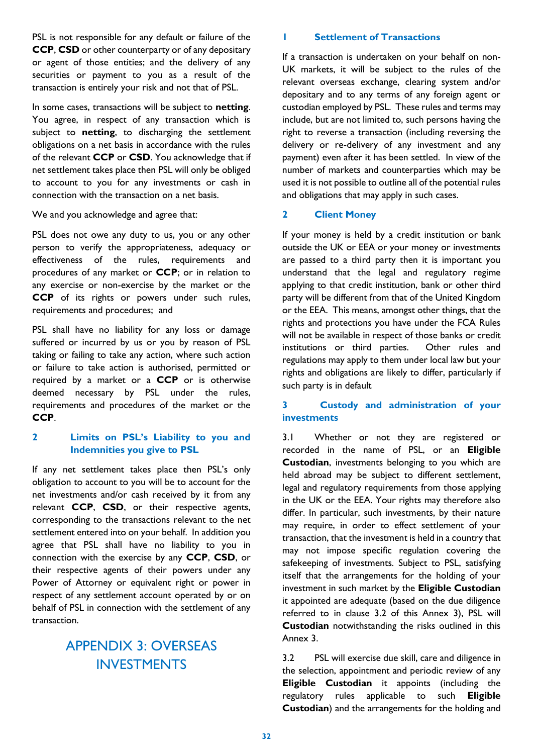PSL is not responsible for any default or failure of the **CCP**, **CSD** or other counterparty or of any depositary or agent of those entities; and the delivery of any securities or payment to you as a result of the transaction is entirely your risk and not that of PSL.

In some cases, transactions will be subject to **netting**. You agree, in respect of any transaction which is subject to **netting**, to discharging the settlement obligations on a net basis in accordance with the rules of the relevant **CCP** or **CSD**. You acknowledge that if net settlement takes place then PSL will only be obliged to account to you for any investments or cash in connection with the transaction on a net basis.

#### We and you acknowledge and agree that:

PSL does not owe any duty to us, you or any other person to verify the appropriateness, adequacy or effectiveness of the rules, requirements and procedures of any market or **CCP**; or in relation to any exercise or non-exercise by the market or the **CCP** of its rights or powers under such rules, requirements and procedures; and

PSL shall have no liability for any loss or damage suffered or incurred by us or you by reason of PSL taking or failing to take any action, where such action or failure to take action is authorised, permitted or required by a market or a **CCP** or is otherwise deemed necessary by PSL under the rules, requirements and procedures of the market or the **CCP**.

## **2 Limits on PSL's Liability to you and Indemnities you give to PSL**

If any net settlement takes place then PSL's only obligation to account to you will be to account for the net investments and/or cash received by it from any relevant **CCP**, **CSD**, or their respective agents, corresponding to the transactions relevant to the net settlement entered into on your behalf.In addition you agree that PSL shall have no liability to you in connection with the exercise by any **CCP**, **CSD**, or their respective agents of their powers under any Power of Attorney or equivalent right or power in respect of any settlement account operated by or on behalf of PSL in connection with the settlement of any transaction.

# APPENDIX 3: OVERSEAS INVESTMENTS

#### **1 Settlement of Transactions**

If a transaction is undertaken on your behalf on non-UK markets, it will be subject to the rules of the relevant overseas exchange, clearing system and/or depositary and to any terms of any foreign agent or custodian employed by PSL. These rules and terms may include, but are not limited to, such persons having the right to reverse a transaction (including reversing the delivery or re-delivery of any investment and any payment) even after it has been settled. In view of the number of markets and counterparties which may be used it is not possible to outline all of the potential rules and obligations that may apply in such cases.

### **2 Client Money**

If your money is held by a credit institution or bank outside the UK or EEA or your money or investments are passed to a third party then it is important you understand that the legal and regulatory regime applying to that credit institution, bank or other third party will be different from that of the United Kingdom or the EEA. This means, amongst other things, that the rights and protections you have under the FCA Rules will not be available in respect of those banks or credit institutions or third parties. Other rules and regulations may apply to them under local law but your rights and obligations are likely to differ, particularly if such party is in default

## **3 Custody and administration of your investments**

3.1 Whether or not they are registered or recorded in the name of PSL, or an **Eligible Custodian**, investments belonging to you which are held abroad may be subject to different settlement, legal and regulatory requirements from those applying in the UK or the EEA. Your rights may therefore also differ. In particular, such investments, by their nature may require, in order to effect settlement of your transaction, that the investment is held in a country that may not impose specific regulation covering the safekeeping of investments. Subject to PSL, satisfying itself that the arrangements for the holding of your investment in such market by the **Eligible Custodian** it appointed are adequate (based on the due diligence referred to in clause 3.2 of this Annex 3), PSL will **Custodian** notwithstanding the risks outlined in this Annex 3.

3.2 PSL will exercise due skill, care and diligence in the selection, appointment and periodic review of any **Eligible Custodian** it appoints (including the regulatory rules applicable to such **Eligible Custodian**) and the arrangements for the holding and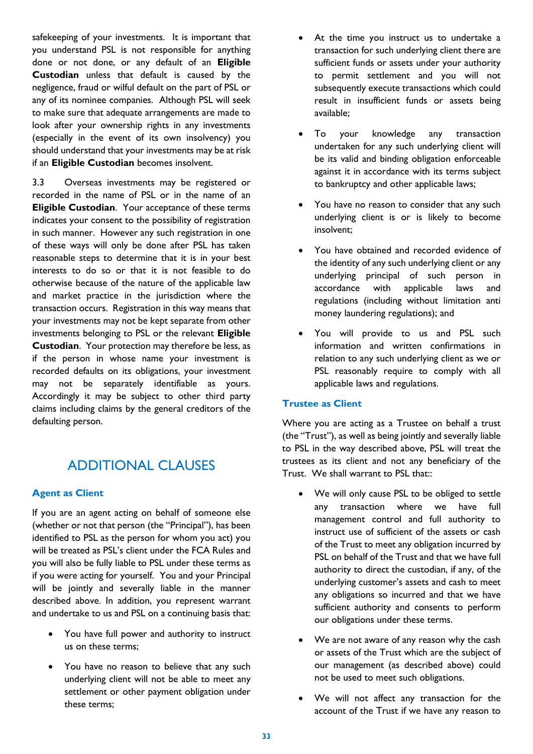safekeeping of your investments. It is important that you understand PSL is not responsible for anything done or not done, or any default of an **Eligible Custodian** unless that default is caused by the negligence, fraud or wilful default on the part of PSL or any of its nominee companies. Although PSL will seek to make sure that adequate arrangements are made to look after your ownership rights in any investments (especially in the event of its own insolvency) you should understand that your investments may be at risk if an **Eligible Custodian** becomes insolvent.

3.3 Overseas investments may be registered or recorded in the name of PSL or in the name of an **Eligible Custodian**. Your acceptance of these terms indicates your consent to the possibility of registration in such manner. However any such registration in one of these ways will only be done after PSL has taken reasonable steps to determine that it is in your best interests to do so or that it is not feasible to do otherwise because of the nature of the applicable law and market practice in the jurisdiction where the transaction occurs. Registration in this way means that your investments may not be kept separate from other investments belonging to PSL or the relevant **Eligible Custodian**. Your protection may therefore be less, as if the person in whose name your investment is recorded defaults on its obligations, your investment may not be separately identifiable as yours. Accordingly it may be subject to other third party claims including claims by the general creditors of the defaulting person.

# ADDITIONAL CLAUSES

## **Agent as Client**

If you are an agent acting on behalf of someone else (whether or not that person (the "Principal"), has been identified to PSL as the person for whom you act) you will be treated as PSL's client under the FCA Rules and you will also be fully liable to PSL under these terms as if you were acting for yourself. You and your Principal will be jointly and severally liable in the manner described above. In addition, you represent warrant and undertake to us and PSL on a continuing basis that:

- You have full power and authority to instruct us on these terms;
- You have no reason to believe that any such underlying client will not be able to meet any settlement or other payment obligation under these terms;
- At the time you instruct us to undertake a transaction for such underlying client there are sufficient funds or assets under your authority to permit settlement and you will not subsequently execute transactions which could result in insufficient funds or assets being available;
- To your knowledge any transaction undertaken for any such underlying client will be its valid and binding obligation enforceable against it in accordance with its terms subject to bankruptcy and other applicable laws;
- You have no reason to consider that any such underlying client is or is likely to become insolvent;
- You have obtained and recorded evidence of the identity of any such underlying client or any underlying principal of such person in accordance with applicable laws and regulations (including without limitation anti money laundering regulations); and
- You will provide to us and PSL such information and written confirmations in relation to any such underlying client as we or PSL reasonably require to comply with all applicable laws and regulations.

## **Trustee as Client**

Where you are acting as a Trustee on behalf a trust (the "Trust"), as well as being jointly and severally liable to PSL in the way described above, PSL will treat the trustees as its client and not any beneficiary of the Trust. We shall warrant to PSL that::

- We will only cause PSL to be obliged to settle any transaction where we have full management control and full authority to instruct use of sufficient of the assets or cash of the Trust to meet any obligation incurred by PSL on behalf of the Trust and that we have full authority to direct the custodian, if any, of the underlying customer's assets and cash to meet any obligations so incurred and that we have sufficient authority and consents to perform our obligations under these terms.
- We are not aware of any reason why the cash or assets of the Trust which are the subject of our management (as described above) could not be used to meet such obligations.
- We will not affect any transaction for the account of the Trust if we have any reason to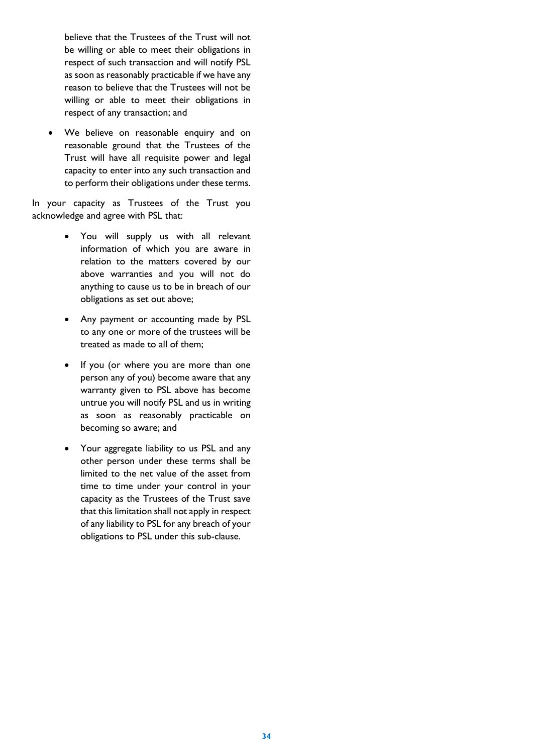believe that the Trustees of the Trust will not be willing or able to meet their obligations in respect of such transaction and will notify PSL as soon as reasonably practicable if we have any reason to believe that the Trustees will not be willing or able to meet their obligations in respect of any transaction; and

 We believe on reasonable enquiry and on reasonable ground that the Trustees of the Trust will have all requisite power and legal capacity to enter into any such transaction and to perform their obligations under these terms.

In your capacity as Trustees of the Trust you acknowledge and agree with PSL that:

- You will supply us with all relevant information of which you are aware in relation to the matters covered by our above warranties and you will not do anything to cause us to be in breach of our obligations as set out above;
- Any payment or accounting made by PSL to any one or more of the trustees will be treated as made to all of them;
- If you (or where you are more than one person any of you) become aware that any warranty given to PSL above has become untrue you will notify PSL and us in writing as soon as reasonably practicable on becoming so aware; and
- Your aggregate liability to us PSL and any other person under these terms shall be limited to the net value of the asset from time to time under your control in your capacity as the Trustees of the Trust save that this limitation shall not apply in respect of any liability to PSL for any breach of your obligations to PSL under this sub-clause.